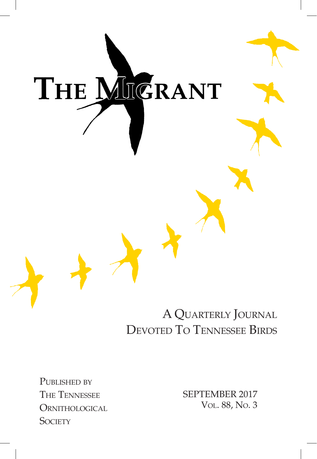

# A Quarterly Journal Devoted To Tennessee Birds

PUBLISHED BY The Tennessee **ORNITHOLOGICAL SOCIETY** 

SEPTEMBER 2017 Vol. 88, No. 3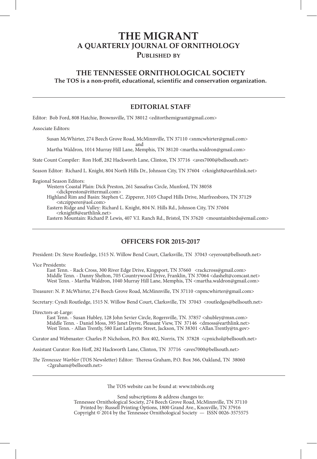# **THE MIGRANT A QUARTERLY JOURNAL OF ORNITHOLOGY Published by**

# **THE TENNESSEE ORNITHOLOGICAL SOCIETY**

**The TOS is a non-profit, educational, scientific and conservation organization.** 

#### **EDITORIAL STAFF**

Editor: Bob Ford, 808 Hatchie, Brownsville, TN 38012 <editorthemigrant@gmail.com>

Associate Editors:

Susan McWhirter, 274 Beech Grove Road, McMinnville, TN 37110 <snmcwhirter@gmail.com>

 and Martha Waldron, 1014 Murray Hill Lane, Memphis, TN 38120 <martha.waldron@gmail.com>

State Count Compiler: Ron Hoff, 282 Hackworth Lane, Clinton, TN 37716 <aves7000@bellsouth.net>

Season Editor: Richard L. Knight, 804 North Hills Dr., Johnson City, TN 37604 <rknight8@earthlink.net>

Regional Season Editors:

Western Coastal Plain: Dick Preston, 261 Sassafras Circle, Munford, TN 38058 <dickpreston@rittermail.com> Highland Rim and Basin: Stephen C. Zipperer, 3105 Chapel Hills Drive, Murfreesboro, TN 37129 <stczipperer@aol.com> Eastern Ridge and Valley: Richard L. Knight, 804 N. Hills Rd., Johnson City, TN 37604 <rknight8@earthlink.net> Eastern Mountain: Richard P. Lewis, 407 V.I. Ranch Rd., Bristol, TN 37620 <mountainbirds@email.com>

#### **OFFICERS FOR 2015-2017**

President: Dr. Steve Routledge, 1515 N. Willow Bend Court, Clarksville, TN 37043 <eyerout@bellsouth.net>

Vice Presidents:

East Tenn. - Rack Cross, 300 River Edge Drive, Kingsport, TN 37660 <rackcross@gmail.com> Middle Tenn. - Danny Shelton, 705 Countrywood Drive, Franklin, TN 37064 <dashelt@comcast.net> West Tenn. - Martha Waldron, 1040 Murray Hill Lane, Memphis, TN <martha.waldron@gmail.com>

Treasurer: N. P. McWhirter, 274 Beech Grove Road, McMinnville, TN 37110 <npmcwhirter@gmail.com>

Secretary: Cyndi Routledge, 1515 N. Willow Bend Court, Clarksville, TN 37043 <routledges@bellsouth.net>

Directors-at-Large:

East Tenn. - Susan Hubley, 128 John Sevier Circle, Rogersville, TN. 37857 <shubley@msn.com> Middle Tenn. - Daniel Moss, 395 Janet Drive, Pleasant View, TN 37146 <dmoss@earthlink.net> West Tenn. - Allan Trently, 580 East Lafayette Street, Jackson, TN 38301 <Allan.Trently@tn.gov>

Curator and Webmaster: Charles P. Nicholson, P.O. Box 402, Norris, TN 37828 <cpnichol@bellsouth.net>

Assistant Curator: Ron Hoff, 282 Hackworth Lane, Clinton, TN 37716 <aves7000@bellsouth.net>

*The Tennessee Warbler* (TOS Newsletter) Editor: Theresa Graham, P.O. Box 366, Oakland, TN 38060 <2graham@bellsouth.net>

The TOS website can be found at: www.tnbirds.org

Send subscriptions & address changes to: Tennessee Ornithological Society, 274 Beech Grove Road, McMinnville, TN 37110 Printed by: Russell Printing Options, 1800 Grand Ave., Knoxville, TN 37916 Copyright © 2014 by the Tennessee Ornithological Society — ISSN 0026-3575575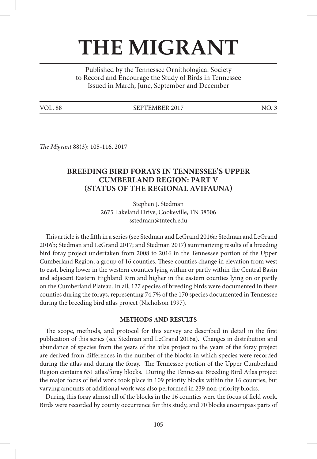# **THE MIGRANT**

Published by the Tennessee Ornithological Society to Record and Encourage the Study of Birds in Tennessee Issued in March, June, September and December

VOL. 88 SEPTEMBER 2017 NO. 3

*The Migrant* 88(3): 105-116, 2017

# **BREEDING BIRD FORAYS IN TENNESSEE'S UPPER CUMBERLAND REGION: PART V (STATUS OF THE REGIONAL AVIFAUNA)**

Stephen J. Stedman 2675 Lakeland Drive, Cookeville, TN 38506 sstedman@tntech.edu

This article is the fifth in a series (see Stedman and LeGrand 2016a; Stedman and LeGrand 2016b; Stedman and LeGrand 2017; and Stedman 2017) summarizing results of a breeding bird foray project undertaken from 2008 to 2016 in the Tennessee portion of the Upper Cumberland Region, a group of 16 counties. These counties change in elevation from west to east, being lower in the western counties lying within or partly within the Central Basin and adjacent Eastern Highland Rim and higher in the eastern counties lying on or partly on the Cumberland Plateau. In all, 127 species of breeding birds were documented in these counties during the forays, representing 74.7% of the 170 species documented in Tennessee during the breeding bird atlas project (Nicholson 1997).

#### **METHODS AND RESULTS**

The scope, methods, and protocol for this survey are described in detail in the first publication of this series (see Stedman and LeGrand 2016a). Changes in distribution and abundance of species from the years of the atlas project to the years of the foray project are derived from differences in the number of the blocks in which species were recorded during the atlas and during the foray. The Tennessee portion of the Upper Cumberland Region contains 651 atlas/foray blocks. During the Tennessee Breeding Bird Atlas project the major focus of field work took place in 109 priority blocks within the 16 counties, but varying amounts of additional work was also performed in 239 non-priority blocks.

During this foray almost all of the blocks in the 16 counties were the focus of field work. Birds were recorded by county occurrence for this study, and 70 blocks encompass parts of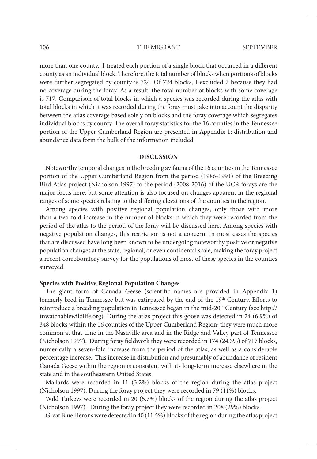more than one county. I treated each portion of a single block that occurred in a different county as an individual block. Therefore, the total number of blocks when portions of blocks were further segregated by county is 724. Of 724 blocks, I excluded 7 because they had no coverage during the foray. As a result, the total number of blocks with some coverage is 717. Comparison of total blocks in which a species was recorded during the atlas with total blocks in which it was recorded during the foray must take into account the disparity between the atlas coverage based solely on blocks and the foray coverage which segregates individual blocks by county. The overall foray statistics for the 16 counties in the Tennessee portion of the Upper Cumberland Region are presented in Appendix 1; distribution and abundance data form the bulk of the information included.

#### **DISCUSSION**

Noteworthy temporal changes in the breeding avifauna of the 16 counties in the Tennessee portion of the Upper Cumberland Region from the period (1986-1991) of the Breeding Bird Atlas project (Nicholson 1997) to the period (2008-2016) of the UCR forays are the major focus here, but some attention is also focused on changes apparent in the regional ranges of some species relating to the differing elevations of the counties in the region.

Among species with positive regional population changes, only those with more than a two-fold increase in the number of blocks in which they were recorded from the period of the atlas to the period of the foray will be discussed here. Among species with negative population changes, this restriction is not a concern. In most cases the species that are discussed have long been known to be undergoing noteworthy positive or negative population changes at the state, regional, or even continental scale, making the foray project a recent corroboratory survey for the populations of most of these species in the counties surveyed.

#### **Species with Positive Regional Population Changes**

The giant form of Canada Geese (scientific names are provided in Appendix 1) formerly bred in Tennessee but was extirpated by the end of the 19<sup>th</sup> Century. Efforts to reintroduce a breeding population in Tennessee began in the mid-20th Century (see http:// tnwatchablewildlife.org). During the atlas project this goose was detected in 24 (6.9%) of 348 blocks within the 16 counties of the Upper Cumberland Region; they were much more common at that time in the Nashville area and in the Ridge and Valley part of Tennessee (Nicholson 1997). During foray fieldwork they were recorded in 174 (24.3%) of 717 blocks, numerically a seven-fold increase from the period of the atlas, as well as a considerable percentage increase. This increase in distribution and presumably of abundance of resident Canada Geese within the region is consistent with its long-term increase elsewhere in the state and in the southeastern United States.

Mallards were recorded in 11 (3.2%) blocks of the region during the atlas project (Nicholson 1997). During the foray project they were recorded in 79 (11%) blocks.

Wild Turkeys were recorded in 20 (5.7%) blocks of the region during the atlas project (Nicholson 1997). During the foray project they were recorded in 208 (29%) blocks.

Great Blue Herons were detected in 40 (11.5%) blocks of the region during the atlas project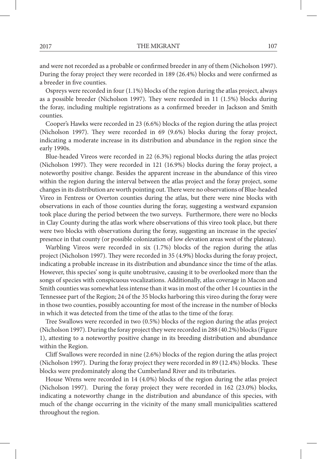and were not recorded as a probable or confirmed breeder in any of them (Nicholson 1997). During the foray project they were recorded in 189 (26.4%) blocks and were confirmed as a breeder in five counties.

Ospreys were recorded in four (1.1%) blocks of the region during the atlas project, always as a possible breeder (Nicholson 1997). They were recorded in 11 (1.5%) blocks during the foray, including multiple registrations as a confirmed breeder in Jackson and Smith counties.

Cooper's Hawks were recorded in 23 (6.6%) blocks of the region during the atlas project (Nicholson 1997). They were recorded in 69 (9.6%) blocks during the foray project, indicating a moderate increase in its distribution and abundance in the region since the early 1990s.

Blue-headed Vireos were recorded in 22 (6.3%) regional blocks during the atlas project (Nicholson 1997). They were recorded in 121 (16.9%) blocks during the foray project, a noteworthy positive change. Besides the apparent increase in the abundance of this vireo within the region during the interval between the atlas project and the foray project, some changes in its distribution are worth pointing out. There were no observations of Blue-headed Vireo in Fentress or Overton counties during the atlas, but there were nine blocks with observations in each of those counties during the foray, suggesting a westward expansion took place during the period between the two surveys. Furthermore, there were no blocks in Clay County during the atlas work where observations of this vireo took place, but there were two blocks with observations during the foray, suggesting an increase in the species' presence in that county (or possible colonization of low elevation areas west of the plateau).

Warbling Vireos were recorded in six (1.7%) blocks of the region during the atlas project (Nicholson 1997). They were recorded in 35 (4.9%) blocks during the foray project, indicating a probable increase in its distribution and abundance since the time of the atlas. However, this species' song is quite unobtrusive, causing it to be overlooked more than the songs of species with conspicuous vocalizations. Additionally, atlas coverage in Macon and Smith counties was somewhat less intense than it was in most of the other 14 counties in the Tennessee part of the Region; 24 of the 35 blocks harboring this vireo during the foray were in those two counties, possibly accounting for most of the increase in the number of blocks in which it was detected from the time of the atlas to the time of the foray.

Tree Swallows were recorded in two (0.5%) blocks of the region during the atlas project (Nicholson 1997). During the foray project they were recorded in 288 (40.2%) blocks (Figure 1), attesting to a noteworthy positive change in its breeding distribution and abundance within the Region.

Cliff Swallows were recorded in nine (2.6%) blocks of the region during the atlas project (Nicholson 1997). During the foray project they were recorded in 89 (12.4%) blocks. These blocks were predominately along the Cumberland River and its tributaries.

House Wrens were recorded in 14 (4.0%) blocks of the region during the atlas project (Nicholson 1997). During the foray project they were recorded in 162 (23.0%) blocks, indicating a noteworthy change in the distribution and abundance of this species, with much of the change occurring in the vicinity of the many small municipalities scattered throughout the region.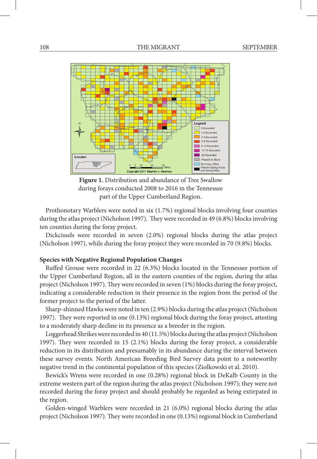

**Figure 1.** Distribution and abundance of Tree Swallow during forays conducted 2008 to 2016 in the Tennessee part of the Upper Cumberland Region.

Prothonotary Warblers were noted in six (1.7%) regional blocks involving four counties during the atlas project (Nicholson 1997). They were recorded in 49 (6.8%) blocks involving ten counties during the foray project.

Dickcissels were recorded in seven (2.0%) regional blocks during the atlas project (Nicholson 1997), while during the foray project they were recorded in 70 (9.8%) blocks.

#### **Species with Negative Regional Population Changes**

Ruffed Grouse were recorded in 22 (6.3%) blocks located in the Tennessee portion of the Upper Cumberland Region, all in the eastern counties of the region, during the atlas project (Nicholson 1997). They were recorded in seven (1%) blocks during the foray project, indicating a considerable reduction in their presence in the region from the period of the former project to the period of the latter.

Sharp-shinned Hawks were noted in ten (2.9%) blocks during the atlas project (Nicholson 1997). They were reported in one (0.13%) regional block during the foray project, attesting to a moderately sharp decline in its presence as a breeder in the region.

Loggerhead Shrikes were recorded in 40 (11.5%) blocks during the atlas project (Nicholson 1997). They were recorded in 15 (2.1%) blocks during the foray project, a considerable reduction in its distribution and presumably in its abundance during the interval between these survey events. North American Breeding Bird Survey data point to a noteworthy negative trend in the continental population of this species (Ziolkowski et al. 2010).

Bewick's Wrens were recorded in one (0.28%) regional block in DeKalb County in the extreme western part of the region during the atlas project (Nicholson 1997); they were not recorded during the foray project and should probably be regarded as being extirpated in the region.

Golden-winged Warblers were recorded in 21 (6.0%) regional blocks during the atlas project (Nicholson 1997). They were recorded in one (0.13%) regional block in Cumberland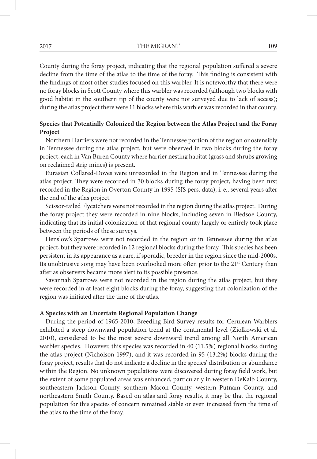County during the foray project, indicating that the regional population suffered a severe decline from the time of the atlas to the time of the foray. This finding is consistent with the findings of most other studies focused on this warbler. It is noteworthy that there were no foray blocks in Scott County where this warbler was recorded (although two blocks with good habitat in the southern tip of the county were not surveyed due to lack of access); during the atlas project there were 11 blocks where this warbler was recorded in that county.

# **Species that Potentially Colonized the Region between the Atlas Project and the Foray Project**

Northern Harriers were not recorded in the Tennessee portion of the region or ostensibly in Tennessee during the atlas project, but were observed in two blocks during the foray project, each in Van Buren County where harrier nesting habitat (grass and shrubs growing on reclaimed strip mines) is present.

Eurasian Collared-Doves were unrecorded in the Region and in Tennessee during the atlas project. They were recorded in 30 blocks during the foray project, having been first recorded in the Region in Overton County in 1995 (SJS pers. data), i. e., several years after the end of the atlas project.

Scissor-tailed Flycatchers were not recorded in the region during the atlas project. During the foray project they were recorded in nine blocks, including seven in Bledsoe County, indicating that its initial colonization of that regional county largely or entirely took place between the periods of these surveys.

Henslow's Sparrows were not recorded in the region or in Tennessee during the atlas project, but they were recorded in 12 regional blocks during the foray. This species has been persistent in its appearance as a rare, if sporadic, breeder in the region since the mid-2000s. Its unobtrusive song may have been overlooked more often prior to the  $21<sup>st</sup>$  Century than after as observers became more alert to its possible presence.

Savannah Sparrows were not recorded in the region during the atlas project, but they were recorded in at least eight blocks during the foray, suggesting that colonization of the region was initiated after the time of the atlas.

#### **A Species with an Uncertain Regional Population Change**

During the period of 1965-2010, Breeding Bird Survey results for Cerulean Warblers exhibited a steep downward population trend at the continental level (Ziolkowski et al. 2010), considered to be the most severe downward trend among all North American warbler species. However, this species was recorded in 40 (11.5%) regional blocks during the atlas project (Nicholson 1997), and it was recorded in 95 (13.2%) blocks during the foray project, results that do not indicate a decline in the species' distribution or abundance within the Region. No unknown populations were discovered during foray field work, but the extent of some populated areas was enhanced, particularly in western DeKalb County, southeastern Jackson County, southern Macon County, western Putnam County, and northeastern Smith County. Based on atlas and foray results, it may be that the regional population for this species of concern remained stable or even increased from the time of the atlas to the time of the foray.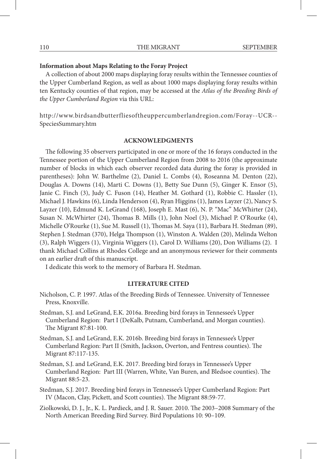#### **Information about Maps Relating to the Foray Project**

A collection of about 2000 maps displaying foray results within the Tennessee counties of the Upper Cumberland Region, as well as about 1000 maps displaying foray results within ten Kentucky counties of that region, may be accessed at the *Atlas of the Breeding Birds of the Upper Cumberland Region* via this URL:

http://www.birdsandbutterfliesoftheuppercumberlandregion.com/Foray--UCR-- SpeciesSummary.htm

#### **ACKNOWLEDGMENTS**

The following 35 observers participated in one or more of the 16 forays conducted in the Tennessee portion of the Upper Cumberland Region from 2008 to 2016 (the approximate number of blocks in which each observer recorded data during the foray is provided in parentheses): John W. Barthelme (2), Daniel L. Combs (4), Roseanna M. Denton (22), Douglas A. Downs (14), Marti C. Downs (1), Betty Sue Dunn (5), Ginger K. Ensor (5), Janie C. Finch (3), Judy C. Fuson (14), Heather M. Gothard (1), Robbie C. Hassler (1), Michael J. Hawkins (6), Linda Henderson (4), Ryan Higgins (1), James Layzer (2), Nancy S. Layzer (10), Edmund K. LeGrand (168), Joseph E. Mast (6), N. P. "Mac" McWhirter (24), Susan N. McWhirter (24), Thomas B. Mills (1), John Noel (3), Michael P. O'Rourke (4), Michelle O'Rourke (1), Sue M. Russell (1), Thomas M. Saya (11), Barbara H. Stedman (89), Stephen J. Stedman (370), Helga Thompson (1), Winston A. Walden (20), Melinda Welton (3), Ralph Wiggers (1), Virginia Wiggers (1), Carol D. Williams (20), Don Williams (2). I thank Michael Collins at Rhodes College and an anonymous reviewer for their comments on an earlier draft of this manuscript.

I dedicate this work to the memory of Barbara H. Stedman.

#### **LITERATURE CITED**

- Nicholson, C. P. 1997. Atlas of the Breeding Birds of Tennessee. University of Tennessee Press, Knoxville.
- Stedman, S.J. and LeGrand, E.K. 2016a. Breeding bird forays in Tennessee's Upper Cumberland Region: Part I (DeKalb, Putnam, Cumberland, and Morgan counties). The Migrant 87:81-100.
- Stedman, S.J. and LeGrand, E.K. 2016b. Breeding bird forays in Tennessee's Upper Cumberland Region: Part II (Smith, Jackson, Overton, and Fentress counties). The Migrant 87:117-135.
- Stedman, S.J. and LeGrand, E.K. 2017. Breeding bird forays in Tennessee's Upper Cumberland Region: Part III (Warren, White, Van Buren, and Bledsoe counties). The Migrant 88:5-23.
- Stedman, S.J. 2017. Breeding bird forays in Tennessee's Upper Cumberland Region: Part IV (Macon, Clay, Pickett, and Scott counties). The Migrant 88:59-77.
- Ziolkowski, D. J., Jr., K. L. Pardieck, and J. R. Sauer. 2010. The 2003–2008 Summary of the North American Breeding Bird Survey. Bird Populations 10: 90–109.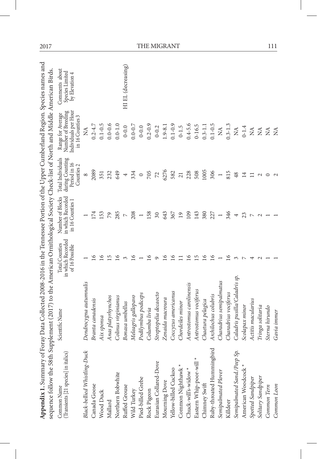| 2017                                                                                                |                                                                                                                                 |                                                                                                  |                              |                   |             |                    |                     |                          |                     |                     |                      |                        | THE MIGRANT     |                      |                               |                                 |                          |                   |                           |                        |                     |                              |                   |                              |                    |              | 111                  |
|-----------------------------------------------------------------------------------------------------|---------------------------------------------------------------------------------------------------------------------------------|--------------------------------------------------------------------------------------------------|------------------------------|-------------------|-------------|--------------------|---------------------|--------------------------|---------------------|---------------------|----------------------|------------------------|-----------------|----------------------|-------------------------------|---------------------------------|--------------------------|-------------------|---------------------------|------------------------|---------------------|------------------------------|-------------------|------------------------------|--------------------|--------------|----------------------|
|                                                                                                     |                                                                                                                                 | Comments about<br>Species Limited<br>by Elevation 4                                              |                              |                   |             |                    |                     | HI EL (decreasing)       |                     |                     |                      |                        |                 |                      |                               |                                 |                          |                   |                           |                        |                     |                              |                   |                              |                    |              |                      |
|                                                                                                     |                                                                                                                                 | Number of Breeding<br>Individuals per Hour<br>Range for Average<br>in 16 Counties 3              | Ź                            | $0.2 - 4.7$       | $0.1 - 0.5$ | $0.0 - 0.6$        | $0.0 - 1.0$         | $0 - 0.0$                | $0.0 - 0.7$         | $0 - 0.0$           | $0.2 - 0.9$          | $0 - 0.2$              | $1.9 - 8.1$     | $0.1 - 0.9$          | $0 - 1.5$                     | $0.4 - 5.6$                     | $0 - 16.5$               | $0.3 - 1.1$       | $0.1 - 0.5$               | $\lessapprox$          | $0.3 - 1.3$         | $\stackrel{\triangle}{\geq}$ | $0 - 1.4$         | $\stackrel{\triangle}{\geq}$ | $\lessapprox$      | $\lesssim$   | $\tilde{\mathbf{z}}$ |
|                                                                                                     |                                                                                                                                 | Total Individuals<br>during Counting<br>Period in 16<br>Counties 2                               | ${}^{\infty}$                | 2089              | 351         | 232                | 649                 | $\overline{\phantom{a}}$ | 334                 | $\circ$             | 705                  | 72                     | 6276            | 582                  | $\overline{21}$               | 228                             | 508                      | 1005              | 306                       |                        | 815                 | 48                           | 14                | $\equiv$                     | $\mathbf{C}$       |              |                      |
|                                                                                                     |                                                                                                                                 | Number of Blocks<br>in which Recorded<br>in 16 Counties 1                                        |                              | 174               | <b>153</b>  | 29                 | 285                 | $\overline{\phantom{0}}$ | 208                 | $\overline{a}$      | 158                  | $\sqrt{30}$            | 643             | 367                  | $\overline{19}$               | 109                             | 143                      | 380               | 227                       |                        | 346                 | 4                            | 23                |                              |                    |              |                      |
|                                                                                                     |                                                                                                                                 | in which Recorded<br><b>Total Counties</b><br>of 16 Possible                                     |                              | ٵ                 | ≌           | r                  | $\circ$             |                          | ِ                   |                     | $\tilde{\mathbf{e}}$ | ٥                      | ७               | ≌                    |                               | ⊵                               | r                        | ٩                 | ⊻                         |                        | ∘                   |                              |                   |                              |                    |              |                      |
| Data Collected 2008-2016 in the Tennessee Portion of the Upper Cumberland Region. Species names and |                                                                                                                                 | Scientific Name                                                                                  | endrocygna autumnalis        | Branta canadensis | Aix sponsa  | Anas platyrhynchos | Colinus virginianus | Bonasa umbellus          | Meleagris gallopavo | Podilymbus podiceps | columba livia.       | Streptopelia decaocto  | enaida macroura | occyzus americanus   | hordeiles minor               | Antrostomus carolinensis        | Antrostomus vociferus    | 'haetura pelagica | Archilochus colubris      | haradrius semipalmatus | haradrius vociferus | Caladris pusilla/Caladris sp | colapax minor     | Actitis macularius           | Tringa solitaria   | erna hirundo | Gavia immer          |
| Appendix 1. Summary of Foray                                                                        | sequence follow the 58th Supplement (2017) to the American Ornithological Society Check-list of North and Middle American Birds | $\begin{array}{c} \text{Common Name} \\ \text{(Transients [21 species] in italics)} \end{array}$ | Black-bellied Whistling-Duck | Canada Goose      | Wood Duck   | Mallard            | Northern Bobwhite   | Ruffed Grouse            | Wild Turkey         | Pied-billed Grebe   | Rock Pigeon          | Eurasian Collared-Dove | Mourning Dove   | Yellow-billed Cuckoo | Common Nighthawk <sup>*</sup> | Chuck-will's-widow <sup>*</sup> | Eastern Whip-poor-will * | Chimney Swift     | Ruby-throated Hummingbird | Semipalmated Plover    | Killdeer            | Semipalmated Sand./Peep Sp.  | American Woodcock | Spotted Sandpiper            | Solitary Sandpiper | Common Tern  | Common Loon          |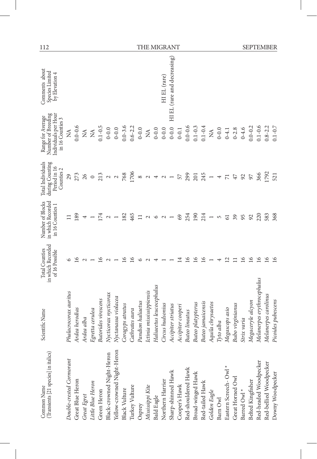| 112                                                                                 |                              |                  |                              |                                          |                     |                           |                            |                  |                |                   |                         |                          | THE MIGRANT      |                             |                   |                       |                          |                   |                   |           |                                  |                         |                         | <b>SEPTEMBER</b>  |                            |                        |                    |
|-------------------------------------------------------------------------------------|------------------------------|------------------|------------------------------|------------------------------------------|---------------------|---------------------------|----------------------------|------------------|----------------|-------------------|-------------------------|--------------------------|------------------|-----------------------------|-------------------|-----------------------|--------------------------|-------------------|-------------------|-----------|----------------------------------|-------------------------|-------------------------|-------------------|----------------------------|------------------------|--------------------|
| Comments about<br>Species Limited<br>by Elevation 4                                 |                              |                  |                              |                                          |                     |                           |                            |                  |                |                   |                         |                          | HI EL (rare)     | HI EL (rare and decreasing) |                   |                       |                          |                   |                   |           |                                  |                         |                         |                   |                            |                        |                    |
| Individuals per Hour<br>Number of Breeding<br>Range for Average<br>in 16 Counties 3 | $\stackrel{\triangle}{\geq}$ | $0.0 - 0.6$      | $\stackrel{\triangle}{\geq}$ | $\stackrel{\triangle}{\scriptstyle\sim}$ | $0.1 - 0.5$         | $0 - 0.0$                 | $0 - 0.0$                  | $0.0 - 3.6$      | $0.6 - 2.2$    | $0 - 0.0$         | $\lessapprox$           | $0-0.0$                  | $0-0.0$          | $0-0.0$                     | $0-0.1$           | $0.0 - 0.6$           | $0.1 - 0.3$              | $0.1 - 0.4$       | $\lesssim$        | $0 - 0.0$ | $0 - 4.1$                        | $0 - 2.8$               | $0 - 4.6$               | $0.0 - 0.2$       | $0.1 - 0.6$                | $0.8 - 2.2$            | $0.1 - 0.7$        |
| Total Individuals<br>during Counting<br>Period in 16<br>Counties 2                  | 29                           | 273              | 26                           | $\circ$                                  | $213$ $\,$          |                           | $\sim$                     | 768              | 1706           | ${}^{\circ}$      | $\sim$                  | $\overline{\mathcal{A}}$ | $\mathbf{z}$     | $\overline{\phantom{a}}$    | 57                | 299                   | 201                      | 245               |                   | 4         | $\overline{7}$                   | 47                      | $\mathcal{S}$           | 50                | 366                        | 1792                   | 521                |
| in which Recorded<br>Number of Blocks<br>in 16 Counties 1                           |                              | 189              | 4                            |                                          | 174                 |                           |                            | 182              | 465            | $\Box$            |                         | $\circ$                  | $\mathcal{L}$    |                             | 69                | 254                   | 190                      | 214               | $\overline{ }$    | 5         | $\overline{6}$                   | 39                      | 95                      | 92                | 220                        | 583                    | 368                |
| in which Recorded<br><b>Total Counties</b><br>of 16 Possible                        |                              | $\overline{6}$   |                              |                                          | $\geq$              |                           |                            | $\overline{6}$   | $\overline{6}$ | $\circ$           |                         |                          |                  |                             | 4                 | ڡ                     | $\overline{6}$           | $\overline{6}$    |                   |           | ų                                |                         | $\geq$                  | 16                | $\overline{16}$            | $\overline{16}$        | $\overline{16}$    |
| Scientific Name                                                                     | Phalacrocorax auritus        | Ardea herodias   | Ardea alba                   | Egretta cerulea                          | Butorides virescens | Nycticorax nycticorax     | Nyctanassa violacea        | Coragyps atratus | Cathrates aura | Pandion haliaetus | ctinia mississippiensis | Haliaeetus leucocephalus | Circus hudsonius | Accipiter striatus          | Accipiter cooperi | <b>Suteo</b> lineatus | <b>Buteo</b> platypterus | Buteo jamaicensis | Aquila chrysaetos | Tyto alba | Megascops asio                   | <b>Bubo virginianus</b> | Strix varia             | Megaceryle alcyom | Melanerpes erythrocephalus | Melanerpes carolinus   | Picoides pubescens |
| (Transients [21 species] in italics)<br>Common Name                                 | Double-crested Cormorant     | Great Blue Heron | Great Egret                  | Little Blue Heron                        | Green Heron         | Black-crowned Night-Heron | Yellow-crowned Night-Heron | Black Vulture    | Turkey Vulture | Osprey            | Mississippi Kite        | Bald Eagle               | Northern Harrier | Sharp-shinned Hawk          | Cooper's Hawk     | Red-shouldered Hawk   | Broad-winged Hawk        | Red-tailed Hawk   | Golden Eagle      | Barn Owl  | Eastern Screech-Owl <sup>*</sup> | Great Horned Owl        | Barred Owl <sup>*</sup> | Belted Kingfisher | Red-headed Woodpecker      | Red-bellied Woodpecker | Downy Woodpecker   |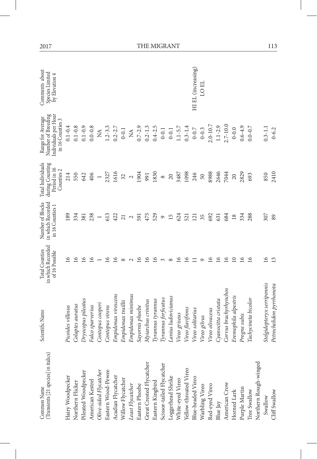| (Transients [21 species] in italics)<br>Common Name | Scientific Name            | in which Recorded<br><b>Total Counties</b><br>of 16 Possible | in which Recorded<br>Number of Blocks<br>in 16 Counties 1 | Total Individuals<br>during Counting<br>Period in 16<br>Counties 2 | Individuals per Hour<br>Number of Breeding<br>Range for Average<br>in 16 Counties 3 | Comments about<br>Species Limited<br>by Elevation 4 |
|-----------------------------------------------------|----------------------------|--------------------------------------------------------------|-----------------------------------------------------------|--------------------------------------------------------------------|-------------------------------------------------------------------------------------|-----------------------------------------------------|
| Hairy Woodpecker                                    | Picoides villosus          |                                                              | 189                                                       | 214                                                                | $0.1 - 0.4$                                                                         |                                                     |
| Northern Flicker<br>Pileated Woodpecker             | Colaptes auratus           | $\approx$                                                    | 334                                                       | 550                                                                | $0.1 - 0.8$                                                                         |                                                     |
|                                                     | Dryocopus pileatus         | $\overline{6}$                                               | 381                                                       | 642                                                                | $0.1 - 0.9$                                                                         |                                                     |
| American Kestrel<br>Olive-sided Flycatcher          | Falco sparverius           | $\approx$                                                    | 238                                                       | 406                                                                | $0.0 - 0.8$                                                                         |                                                     |
|                                                     | Contopus cooperi           |                                                              | $\overline{\phantom{0}}$                                  | $\overline{\phantom{0}}$                                           | $\lesssim$                                                                          |                                                     |
| Eastern Wood-Pewee<br>Acadian Flycatcher            | Contopus virens            |                                                              | 613                                                       | 2327                                                               | $1.2 - 3.3$                                                                         |                                                     |
|                                                     | Empidonax virescens        | ≌                                                            | 422                                                       | 1616                                                               | $0.2 - 2.7$                                                                         |                                                     |
| Willow Flycatcher                                   | Empidonax traillii         | $^{\circ}$                                                   | $\overline{21}$                                           | $\mathfrak{Z}% _{C}^{\ast }=\mathfrak{Z}_{C}^{\ast }$              | $0 - 0.1$                                                                           |                                                     |
| Least Flycatcher                                    | Empidonax minimus          | $\mathcal{L}$                                                | $\sim$                                                    | $\sim$                                                             | $\lessapprox$                                                                       |                                                     |
| Eastern Phoebe                                      | Sayornis phoebe            | ڡ                                                            | 591                                                       | 1904                                                               | $0.7 - 2.9$                                                                         |                                                     |
| Great Crested Flycatcher                            | Myiarchus crinitus         | $\overline{16}$                                              | 475                                                       | 991                                                                | $0.2 - 1.3$                                                                         |                                                     |
| Eastern Kingbird<br>Scissor-tailed Flycatcher       | Tyrannus tyrannus          | $\overline{16}$                                              | 529                                                       | 1830                                                               | $0.4 - 2.5$                                                                         |                                                     |
|                                                     | Tyrannus forficatus        | $\sim$                                                       | $\mathfrak{D}$                                            | ${}^{\circ}$                                                       | $0-0.1$                                                                             |                                                     |
|                                                     | Lanius ludovicianus        | $^{\circ}$                                                   | 15                                                        | $20\,$                                                             | $0-0.1$                                                                             |                                                     |
| Loggerhead Shrike<br>White-eyed Vireo               | Vireo griseus              | $\overline{6}$                                               | 624                                                       | 3487                                                               | $1.1 - 5.7$                                                                         |                                                     |
| Yellow-throated Vireo                               | Vireo flavifrons           | $\overline{6}$                                               | 521                                                       | 1098                                                               | $0.3 - 1.4$                                                                         |                                                     |
| Blue-headed Vireo                                   | Vireo solitarius           |                                                              | 121                                                       | 246                                                                | $0\textrm{-}0.7$                                                                    | HI EL (increasing)                                  |
| Warbling Vireo                                      | Vireo gilvus               | Ō                                                            | 35                                                        | $50\,$                                                             | $0 - 0.3$                                                                           | LO EL                                               |
| Red-eyed Vireo                                      | Vireo olivaceus            | $\overline{6}$                                               | 692                                                       | 8988                                                               | $2.0 - 10.7$                                                                        |                                                     |
|                                                     | Cyanocitta cristata        | $\overline{6}$                                               | 631                                                       | 2646                                                               | $1.1 - 2.9$                                                                         |                                                     |
| Blue Jay $\hbox{American Crow}$                     | Corvus brachyrhynchos      | $\geq$                                                       | 684                                                       | 7044                                                               | $2.7 - 10.0$                                                                        |                                                     |
| Horned Lark                                         | Eremophila alpestris       | $\supseteq$                                                  | 18                                                        | $\overline{c}$                                                     | $0 - 0.0$                                                                           |                                                     |
| Purple Martin<br>Tree Swallow                       | Progne subis               | $\geq$                                                       | 334                                                       | 2829                                                               | $0.6 - 4.9$                                                                         |                                                     |
|                                                     | Tachycineta bicolor        |                                                              | 288                                                       | 693                                                                | $0.0 - 0.7$                                                                         |                                                     |
| Northern Rough-winged                               |                            |                                                              |                                                           |                                                                    |                                                                                     |                                                     |
| Swallow                                             | Stelgidopteryx serripennis |                                                              | 307                                                       | 850                                                                | $0.3 - 1.1$                                                                         |                                                     |
| Cliff Swallow                                       | Petrochelidon pyrrhonota   | 13                                                           | 89                                                        | 2410                                                               | $0 - 6.2$                                                                           |                                                     |

 $\overline{1}$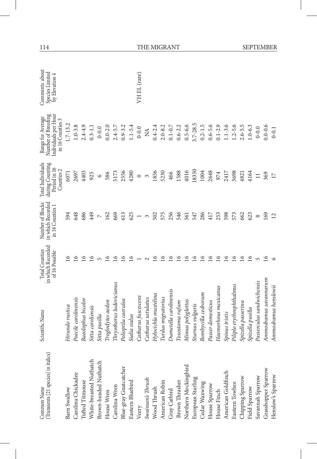| (Transients [21 species] in italics)<br>Common Name | Scientific Name           | in which Recorded<br><b>Total Counties</b><br>of 16 Possible | in which Recorded<br>Number of Blocks<br>in 16 Counties 1 | Total Individuals<br>during Counting<br>Period in 16<br>Counties 2 | Number of Breeding<br>Individuals per Hour<br>Range for Average<br>in 16 Counties 3 | Comments about<br>Species Limited<br>by Elevation 4 |
|-----------------------------------------------------|---------------------------|--------------------------------------------------------------|-----------------------------------------------------------|--------------------------------------------------------------------|-------------------------------------------------------------------------------------|-----------------------------------------------------|
| Barn Swallow                                        | Hirundo rustica           |                                                              | 594                                                       | 6071                                                               | $.7 - 13.2$                                                                         |                                                     |
| Carolina Chickadee                                  | Poecile carolinensis      | $\overline{16}$                                              | 648                                                       | 2697                                                               | $1.0 - 3.8$                                                                         |                                                     |
| Tufted Titmouse                                     | Baeolophus bicolor        | $\tilde{e}$                                                  | 686                                                       | 4403                                                               | $2.4 - 4.9$                                                                         |                                                     |
| White-breasted Nuthatch                             | Sitta caroliensis         | $\tilde{e}$                                                  | 449                                                       | 925                                                                | $0.3 - 1.1$                                                                         |                                                     |
| Brown-headed Nuthatch                               | Sitta pusilla             | $\sqrt{2}$                                                   | $\triangleright$                                          | $\circ$                                                            | $0 - 0.0$                                                                           |                                                     |
| House Wren                                          | Troglodytes aedon         | $\overline{\circ}$                                           | 162                                                       | 586                                                                | $0.0 - 2.0$                                                                         |                                                     |
| Carolina Wren                                       | Thryothorus ludovicianus  | $\circ$                                                      | 669                                                       | 5173                                                               | $2.4 - 5.7$                                                                         |                                                     |
| Blue-gray Gnatcatcher                               | Polioptila caerulea       | $\tilde{e}$                                                  | 613                                                       | 2556                                                               | $0.9 - 3.2$                                                                         |                                                     |
| Eastern Bluebird                                    | Sialia sialus             | ٵ                                                            | 625                                                       | 4280                                                               | $1.1 - 5.4$                                                                         |                                                     |
|                                                     | Catharus fuscescens       |                                                              | $\overline{ }$                                            | $\circ$                                                            | $0 - 0.0$                                                                           | VH EL (rare)                                        |
| Veery<br>Swainson's Thrush                          | Catharus ustulatus        |                                                              | 3                                                         | $\infty$                                                           | $\lessapprox$                                                                       |                                                     |
| Wood Thrush                                         | Hylocichla mustelina      | $\circ$                                                      | 502                                                       | 1856                                                               | $0.4 - 2.4$                                                                         |                                                     |
| American Robin                                      | Turdus migratorius        | $\tilde{e}$                                                  | 575                                                       | 5230                                                               | $2.0 - 8.2$                                                                         |                                                     |
|                                                     | Dumetella carolinensis    | $\overline{16}$                                              | 256                                                       | 466                                                                | $0.1 - 0.7$                                                                         |                                                     |
| Gray Catbird<br>Brown Thrasher                      | Toxostoma rufum           | $\geq$                                                       | 546                                                       | 1588                                                               | $0.6 - 2.2$                                                                         |                                                     |
|                                                     | Mimus polyglottos         | $\tilde{e}$                                                  | 561                                                       | 4016                                                               | $0.5 - 6.6$                                                                         |                                                     |
| Northern Mockingbird<br>European Starling           | Sturnus vulgaris          | ٵ                                                            | 547                                                       | 18350                                                              | $3.7 - 28.5$                                                                        |                                                     |
| Cedar Waxwing                                       | Bombycilla cedrorum       | $\overline{6}$                                               | 286                                                       | 1004                                                               | $0.2 - 1.5$                                                                         |                                                     |
| House Sparrow                                       | Passer domesticus         | $\geq$                                                       | 417                                                       | 2648                                                               | $0.6 - 5.6$                                                                         |                                                     |
| House Finch                                         | Haemorhous mexicanus      | $\overline{6}$                                               | 253                                                       | 974                                                                | $0.1 - 2.9$                                                                         |                                                     |
| American Goldfinch                                  | Spinus tristis            | $\geq$                                                       | 598                                                       | 2417                                                               | $1.1 - 3.6$                                                                         |                                                     |
| Eastern Towhee                                      | Piliplo erythrophthalmus  | $\circ$                                                      | 573                                                       | 3698                                                               | $1.2 - 5.6$                                                                         |                                                     |
| Chipping Sparrow                                    | Spizella passerina        | ७                                                            | 662                                                       | 4821                                                               | $2.6 - 5.5$                                                                         |                                                     |
| Field Sparrow                                       | Spizella pusilla          | $\circ$                                                      | 623                                                       | 4164                                                               | $1.0 - 6.3$                                                                         |                                                     |
| Savannah Sparrow                                    | Passerculus sandwichensis | 5                                                            | $\infty$                                                  | $\Box$                                                             | $0 - 0.0$                                                                           |                                                     |
| Grasshopper Sparrow                                 | Ammodramus savannarum     | ७                                                            | 169                                                       | 369                                                                | $0.0 - 0.6$                                                                         |                                                     |
| Henslow's Sparrow                                   | Ammodramus henslowii      |                                                              | 12                                                        | 17                                                                 | $0 - 0.1$                                                                           |                                                     |

114 THE MIGRANT SEPTEMBER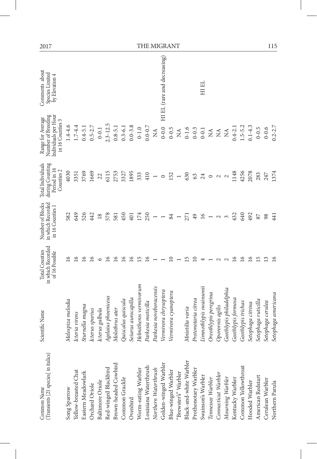| 2017                                                                                |                   |                      |                    |                |                  |                      |                      |                    |                     |                                      |                      |                                     | THE MIGRANT                 |                      |                      |                               |                      |                         |                       |                     |                         |                    |                     |                   |                     |                   | 115                 |
|-------------------------------------------------------------------------------------|-------------------|----------------------|--------------------|----------------|------------------|----------------------|----------------------|--------------------|---------------------|--------------------------------------|----------------------|-------------------------------------|-----------------------------|----------------------|----------------------|-------------------------------|----------------------|-------------------------|-----------------------|---------------------|-------------------------|--------------------|---------------------|-------------------|---------------------|-------------------|---------------------|
| Comments about<br>Species Limited<br>by Elevation 4                                 |                   |                      |                    |                |                  |                      |                      |                    |                     |                                      |                      |                                     | HI EL (rare and decreasing) |                      |                      |                               |                      | <b>HIEL</b>             |                       |                     |                         |                    |                     |                   |                     |                   |                     |
| Number of Breeding<br>Individuals per Hour<br>Range for Average<br>in 16 Counties 3 | $-4-4.6$          | $1.7 - 4.4$          | $0.4 - 5.1$        | $0.5 - 2.7$    | $0 - 0.1$        | $2.3 - 12.5$         | $0.8 - 5.1$          | $0.3 - 6.1$        | $0.0 - 3.8$         | $0 - 1.0$                            | $0.0 - 0.7$          | $\widetilde{\Sigma}$                | $0 - 0.0$                   | $0 - 0.5$            | $\lessapprox$        | $0 - 1.6$                     | $0 - 0.3$            | $0 - 0.1$               | $\lesssim$            | $\lessapprox$       | $\mathbb{E}$            | $0.4 - 2.1$        | $1.5 - 5.2$         | $0.1 - 4.3$       | $0 - 0.5$           | $0 - 0.6$         | $0.2 - 2.7$         |
| Total Individuals<br>during Counting<br>Period in 16<br>Counties 2                  | 4030              | 3351                 | 3769               | 1669           | 22               | 6115                 | 2753                 | 3327               | 1895                | 333                                  | 410                  | $\overline{\phantom{a}}$            | $\circ$                     | 152                  | $\overline{a}$       | 630                           | 63                   | 24                      | $\circ$               | $\sim$              | $\sim$                  | 1148               | 4256                | 2078              | 283                 | 247               | 1374                |
| in which Recorded<br>Number of Blocks<br>in 16 Counties 1                           | 582               | 649                  | 526                | 442            | 18               | 578                  | 581                  | 450                | 401                 | 174                                  | 250                  |                                     |                             | 84                   | $\overline{ }$       | 271                           | 49                   | $\overline{16}$         |                       | $\mathcal{L}$       | 3                       | 432                | 640                 | 492               | 87                  | 98                | 441                 |
| in which Recorded<br><b>Total Counties</b><br>of 16 Possible                        | $\overline{16}$   | $\frac{6}{2}$        | $\overline{16}$    | ٵ              | 6                | $\overline{\circ}$   | ڡ                    | $\overline{6}$     | $\overline{16}$     | 5                                    | $\overline{16}$      |                                     |                             | ≘                    |                      | IJ                            | $\overline{a}$       |                         |                       |                     |                         | $\overline{16}$    | $\overline{16}$     | $\overline{16}$   | $\overline{15}$     |                   | ≌                   |
| Scientific Name                                                                     | Melospiza melodia | cteria virens        | sturnella magna    | cterus spurius | cterus galbula   | Agelaius phoeniceus  | Molothrus ater       | Quiscalus quiscula | seiurus aurocapilla | <i><u>Aelmitheros vermivorum</u></i> | Parkesia moticilla   | <sup>o</sup> arkesia noveboracensis | Vermivora chrysoptera       | Vermivora cyanoptera |                      | <i><b>Mniotilta</b></i> varia | Protonotaria citrea  | .imnothlypis swainsonii | Oreothlypis peregrina | Oporornis agilis    | Geothlypis philadelphia | Geothlypis formosa | Geothlypis trichas  | setophaga citrina | Setophaga ruticilla | setophaga cerulea | setophaga americana |
| (Transients [21 species] in italics)<br>Common Name                                 | Song Sparrow      | Yellow-breasted Chat | Eastern Meadowlark | Orchard Oriole | Baltimore Oriole | Red-winged Blackbird | Brown-headed Cowbird | Common Grackle     | Ovenbird            | Worm-eating Warbler                  | ouisiana Waterthrush | Northern Waterthrush                | Golden-winged Warbler       | Blue-winged Warbler  | 'Brewster's" Warbler | Black-and-white Warbler       | Prothonotary Warbler | Swainson's Warbler      | Tennessee Warbler     | Connecticut Warbler | Mourning Warbler        | Kentucky Warbler   | Common Yellowthroat | Hooded Warbler    | American Redstart   | Cerulean Warbler  | Northern Parula     |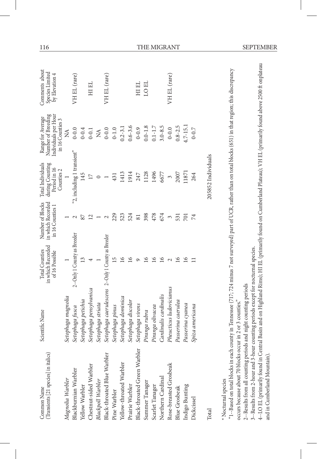| (Transients [21 species] in italics)<br>Common Name                                                                                                                                          | Scientific Name                                                                                                                    | in which Recorded<br><b>Total Counties</b><br>of 16 Possible | Number of Blocks<br>in which Recorded<br>in 16 Counties 1 | Total Individuals<br>during Counting<br>Period in 16<br>Counties 2 | Individuals per Hour<br>Number of Breeding<br>Range for Average<br>in 16 Counties 3 | Comments about<br>Species Limited<br>by Elevation 4 |
|----------------------------------------------------------------------------------------------------------------------------------------------------------------------------------------------|------------------------------------------------------------------------------------------------------------------------------------|--------------------------------------------------------------|-----------------------------------------------------------|--------------------------------------------------------------------|-------------------------------------------------------------------------------------|-----------------------------------------------------|
| Magnolia Warbler                                                                                                                                                                             | Setophaga magnolia                                                                                                                 |                                                              |                                                           |                                                                    | Ź                                                                                   |                                                     |
| Blackburnian Warbler                                                                                                                                                                         | Setophaga fusca                                                                                                                    | 2--Only 1 County as Breeder                                  | $\mathcal{L}$                                             | "2, including 1 transient"                                         | $0 - 0.0$                                                                           | VH EL (rare)                                        |
| Yellow Warbler                                                                                                                                                                               | Setophaga petichia                                                                                                                 |                                                              | 87                                                        | 145                                                                | $0 - 0.4$                                                                           |                                                     |
| Chestnut-sided Warbler                                                                                                                                                                       | Setophaga pensylvanica                                                                                                             |                                                              | $\overline{12}$                                           | $\overline{17}$                                                    | $0 - 0.1$                                                                           | HIEL                                                |
| Blackpoll Warbler                                                                                                                                                                            | Setophaga striata                                                                                                                  |                                                              |                                                           | $\circ$                                                            | $\mathbb{A}$                                                                        |                                                     |
| Black-throated Blue Warbler                                                                                                                                                                  | Setophaga caerulescens 2--Only 1 County as Breeder                                                                                 |                                                              | 2                                                         |                                                                    | $0 - 0.0$                                                                           | VH EL (rare)                                        |
| Pine Warbler                                                                                                                                                                                 | Setophaga pinus                                                                                                                    | 51                                                           | 229                                                       | 431                                                                | $0-1.0$                                                                             |                                                     |
| Yellow-throated Warbler                                                                                                                                                                      | Setophaga dominica                                                                                                                 | $\frac{6}{2}$                                                | 523                                                       | 1413                                                               | $0.2 - 3.1$                                                                         |                                                     |
| Prairie Warbler                                                                                                                                                                              | Setophaga discolor                                                                                                                 | $\overline{16}$                                              | 524                                                       | 1914                                                               | $0.6 - 3.6$                                                                         |                                                     |
| Black-throated Green Warbler                                                                                                                                                                 | Setophaga virens                                                                                                                   | $\circ$                                                      | $\overline{\phantom{0}}$ 81                               | 247                                                                | $0 - 0.9$                                                                           | HIEL                                                |
| Summer Tanager                                                                                                                                                                               | Piranga rubra                                                                                                                      | $\overline{16}$                                              | 398                                                       | 1128                                                               | $0.0 - 1.8$                                                                         | <b>LOEL</b>                                         |
| Scarlet Tanager                                                                                                                                                                              | Piranga olivacea                                                                                                                   | $\overline{16}$                                              | 478                                                       | 1496                                                               | $0.1 - 1.7$                                                                         |                                                     |
| Northern Cardinal                                                                                                                                                                            | Cardinalis cardinalis                                                                                                              | $\overline{16}$                                              | 674                                                       | 6677                                                               | $3.0 - 8.5$                                                                         |                                                     |
| Rose-breasted Grosbeak                                                                                                                                                                       | Pheucticus ludovicianus                                                                                                            | $\mathcal{L}$                                                | $\mathfrak{S}$                                            | $\tilde{\phantom{0}}$                                              | $0 - 0.0$                                                                           | VH EL (rare)                                        |
| <b>Blue Grosbeak</b>                                                                                                                                                                         | Passerina caerulea                                                                                                                 | 16                                                           | 531                                                       | 2007                                                               | $0.8 - 2.5$                                                                         |                                                     |
| Indigo Bunting                                                                                                                                                                               | Passerina cyanea                                                                                                                   | $\overline{16}$                                              | 701                                                       | 11871                                                              | $4.7 - 15.1$                                                                        |                                                     |
| Dickcissel                                                                                                                                                                                   | Spiza americana                                                                                                                    | $\Box$                                                       | 74                                                        | 264                                                                | $0 - 0.7$                                                                           |                                                     |
| Total                                                                                                                                                                                        |                                                                                                                                    |                                                              |                                                           | 205852 Individuals                                                 |                                                                                     |                                                     |
| "1--Based on total blocks in each county in Tennessee (717; 724 minus 7 not surveyed) part of UCR, rather than on total blocks (651) in that region; this discrepancy<br>* Nocturnal species |                                                                                                                                    |                                                              |                                                           |                                                                    |                                                                                     |                                                     |
| occurs because about 70 blocks occur in 2 or 3 counties."                                                                                                                                    |                                                                                                                                    |                                                              |                                                           |                                                                    |                                                                                     |                                                     |
| 2--Results from all counting periods and night counting periods                                                                                                                              |                                                                                                                                    |                                                              |                                                           |                                                                    |                                                                                     |                                                     |
| 3--Results from 2-hour and 3-hour counting periods except for nocturnal species.                                                                                                             |                                                                                                                                    |                                                              |                                                           |                                                                    |                                                                                     |                                                     |
| and in Cumberland Mountain).<br>4--LO EL (primarily found in 0                                                                                                                               | Central Basin and on Highland Rims); HI EL (primarily found on Cumberland Plateau); VH EL (primarily found above 2500 ft onplateau |                                                              |                                                           |                                                                    |                                                                                     |                                                     |
|                                                                                                                                                                                              |                                                                                                                                    |                                                              |                                                           |                                                                    |                                                                                     |                                                     |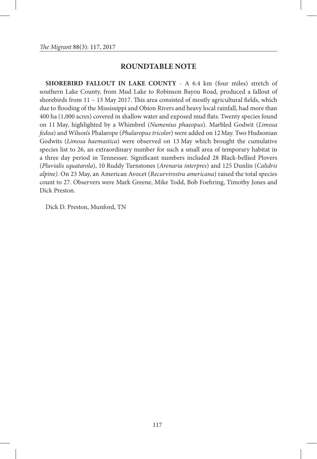# **ROUNDTABLE NOTE**

**SHOREBIRD FALLOUT IN LAKE COUNTY** - A 6.4 km (four miles) stretch of southern Lake County, from Mud Lake to Robinson Bayou Road, produced a fallout of shorebirds from 11 – 13 May 2017. This area consisted of mostly agricultural fields, which due to flooding of the Mississippi and Obion Rivers and heavy local rainfall, had more than 400 ha (1,000 acres) covered in shallow water and exposed mud flats. Twenty species found on 11 May, highlighted by a Whimbrel (*Numenius phaeopus*). Marbled Godwit (*Limosa fedoa*) and Wilson's Phalarope (*Phalaropus tricolor*) were added on 12May. Two Hudsonian Godwits (*Limosa haemastica*) were observed on 13 May which brought the cumulative species list to 26, an extraordinary number for such a small area of temporary habitat in a three day period in Tennessee. Significant numbers included 28 Black-bellied Plovers (*Pluvialis squatarola*), 10 Ruddy Turnstones (*Arenaria interpres*) and 125 Dunlin (*Calidris alpine)*. On 23 May, an American Avocet (*Recurvirostra americana*) raised the total species count to 27. Observers were Mark Greene, Mike Todd, Bob Foehring, Timothy Jones and Dick Preston.

Dick D. Preston, Munford, TN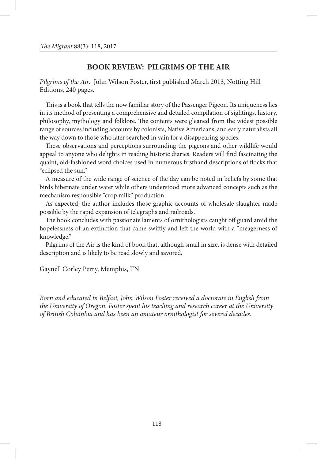# **BOOK REVIEW: PILGRIMS OF THE AIR**

*Pilgrims of the Air*. John Wilson Foster, first published March 2013, Notting Hill Editions, 240 pages.

This is a book that tells the now familiar story of the Passenger Pigeon. Its uniqueness lies in its method of presenting a comprehensive and detailed compilation of sightings, history, philosophy, mythology and folklore. The contents were gleaned from the widest possible range of sources including accounts by colonists, Native Americans, and early naturalists all the way down to those who later searched in vain for a disappearing species.

These observations and perceptions surrounding the pigeons and other wildlife would appeal to anyone who delights in reading historic diaries. Readers will find fascinating the quaint, old-fashioned word choices used in numerous firsthand descriptions of flocks that "eclipsed the sun."

A measure of the wide range of science of the day can be noted in beliefs by some that birds hibernate under water while others understood more advanced concepts such as the mechanism responsible "crop milk" production.

As expected, the author includes those graphic accounts of wholesale slaughter made possible by the rapid expansion of telegraphs and railroads.

The book concludes with passionate laments of ornithologists caught off guard amid the hopelessness of an extinction that came swiftly and left the world with a "meagerness of knowledge."

Pilgrims of the Air is the kind of book that, although small in size, is dense with detailed description and is likely to be read slowly and savored.

Gaynell Corley Perry, Memphis, TN

*Born and educated in Belfast, John Wilson Foster received a doctorate in English from the University of Oregon. Foster spent his teaching and research career at the University of British Columbia and has been an amateur ornithologist for several decades.*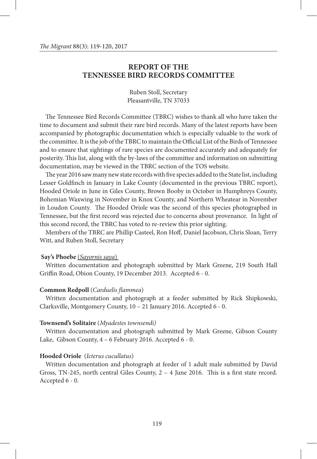# **REPORT OF THE TENNESSEE BIRD RECORDS COMMITTEE**

Ruben Stoll, Secretary Pleasantville, TN 37033

The Tennessee Bird Records Committee (TBRC) wishes to thank all who have taken the time to document and submit their rare bird records. Many of the latest reports have been accompanied by photographic documentation which is especially valuable to the work of the committee. It is the job of the TBRC to maintain the Official List of the Birds of Tennessee and to ensure that sightings of rare species are documented accurately and adequately for posterity. This list, along with the by-laws of the committee and information on submitting documentation, may be viewed in the TBRC section of the TOS website.

The year 2016 saw many new state records with five species added to the State list, including Lesser Goldfinch in January in Lake County (documented in the previous TBRC report), Hooded Oriole in June in Giles County, Brown Booby in October in Humphreys County, Bohemian Waxwing in November in Knox County, and Northern Wheatear in November in Loudon County. The Hooded Oriole was the second of this species photographed in Tennessee, but the first record was rejected due to concerns about provenance. In light of this second record, the TBRC has voted to re-review this prior sighting.

Members of the TBRC are Phillip Casteel, Ron Hoff, Daniel Jacobson, Chris Sloan, Terry Witt, and Ruben Stoll, Secretary

#### **Say's Phoebe** (*Sayornis saya*)

Written documentation and photograph submitted by Mark Greene, 219 South Hall Griffin Road, Obion County, 19 December 2013. Accepted 6 - 0.

#### **Common Redpoll** (*Carduelis flammea*)

Written documentation and photograph at a feeder submitted by Rick Shipkowski, Clarksville, Montgomery County, 10 – 21 January 2016. Accepted 6 - 0.

#### **Townsend's Solitaire** (*Myadestes townsendi)*

Written documentation and photograph submitted by Mark Greene, Gibson County Lake, Gibson County, 4 – 6 February 2016. Accepted 6 - 0.

#### **Hooded Oriole** (*Icterus cucullatus*)

Written documentation and photograph at feeder of 1 adult male submitted by David Gross, TN-245, north central Giles County, 2 – 4 June 2016. This is a first state record. Accepted 6 - 0.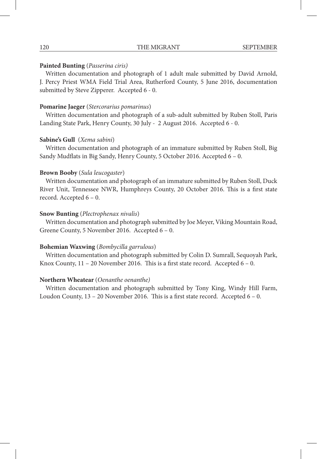#### **Painted Bunting** (*Passerina ciris)*

Written documentation and photograph of 1 adult male submitted by David Arnold, J. Percy Priest WMA Field Trial Area, Rutherford County, 5 June 2016, documentation submitted by Steve Zipperer. Accepted 6 - 0.

#### **Pomarine Jaeger** (*Stercorarius pomarinus*)

Written documentation and photograph of a sub-adult submitted by Ruben Stoll, Paris Landing State Park, Henry County, 30 July - 2 August 2016. Accepted 6 - 0.

#### **Sabine's Gull** (*Xema sabini*)

Written documentation and photograph of an immature submitted by Ruben Stoll, Big Sandy Mudflats in Big Sandy, Henry County, 5 October 2016. Accepted 6 – 0.

#### **Brown Booby** (*Sula leucogaster*)

Written documentation and photograph of an immature submitted by Ruben Stoll, Duck River Unit, Tennessee NWR, Humphreys County, 20 October 2016. This is a first state record. Accepted 6 – 0.

#### **Snow Bunting** (*Plectrophenax nivalis*)

Written documentation and photograph submitted by Joe Meyer, Viking Mountain Road, Greene County, 5 November 2016. Accepted 6 – 0.

#### **Bohemian Waxwing** (*Bombycilla garrulous*)

Written documentation and photograph submitted by Colin D. Sumrall, Sequoyah Park, Knox County, 11 – 20 November 2016. This is a first state record. Accepted 6 – 0.

#### **Northern Wheatear** (*Oenanthe oenanthe)*

Written documentation and photograph submitted by Tony King, Windy Hill Farm, Loudon County, 13 – 20 November 2016. This is a first state record. Accepted 6 – 0.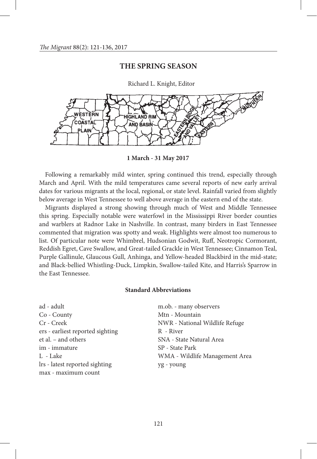# **THE SPRING SEASON**

Richard L. Knight, Editor



**1 March - 31 May 2017**

Following a remarkably mild winter, spring continued this trend, especially through March and April. With the mild temperatures came several reports of new early arrival dates for various migrants at the local, regional, or state level. Rainfall varied from slightly below average in West Tennessee to well above average in the eastern end of the state.

Migrants displayed a strong showing through much of West and Middle Tennessee this spring. Especially notable were waterfowl in the Mississippi River border counties and warblers at Radnor Lake in Nashville. In contrast, many birders in East Tennessee commented that migration was spotty and weak. Highlights were almost too numerous to list. Of particular note were Whimbrel, Hudsonian Godwit, Ruff, Neotropic Cormorant, Reddish Egret, Cave Swallow, and Great-tailed Grackle in West Tennessee; Cinnamon Teal, Purple Gallinule, Glaucous Gull, Anhinga, and Yellow-headed Blackbird in the mid-state; and Black-bellied Whistling-Duck, Limpkin, Swallow-tailed Kite, and Harris's Sparrow in the East Tennessee.

#### **Standard Abbreviations**

| ad - adult                       | m.ob. - many observers         |
|----------------------------------|--------------------------------|
| Co - County                      | Mtn - Mountain                 |
| Cr - Creek                       | NWR - National Wildlife Refuge |
| ers - earliest reported sighting | R - River                      |
| et al. – and others              | SNA - State Natural Area       |
| im - immature                    | SP - State Park                |
| L - Lake                         | WMA - Wildlife Management Area |
| lrs - latest reported sighting   | yg - young                     |
| max - maximum count              |                                |
|                                  |                                |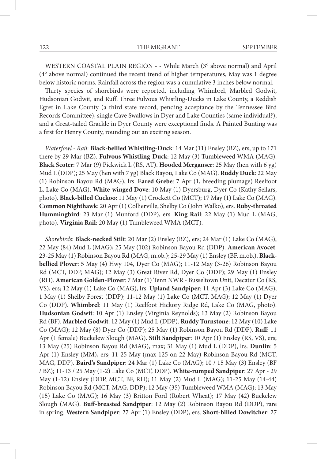WESTERN COASTAL PLAIN REGION - - While March (3° above normal) and April (4° above normal) continued the recent trend of higher temperatures, May was 1 degree below historic norms. Rainfall across the region was a cumulative 3 inches below normal.

Thirty species of shorebirds were reported, including Whimbrel, Marbled Godwit, Hudsonian Godwit, and Ruff. Three Fulvous Whistling-Ducks in Lake County, a Reddish Egret in Lake County (a third state record, pending acceptance by the Tennessee Bird Records Committee), single Cave Swallows in Dyer and Lake Counties (same individual?), and a Great-tailed Grackle in Dyer County were exceptional finds. A Painted Bunting was a first for Henry County, rounding out an exciting season.

*Waterfowl - Rail*: **Black-bellied Whistling-Duck**: 14 Mar (11) Ensley (BZ), ers, up to 171 there by 29 Mar (BZ). **Fulvous Whistling-Duck**: 12 May (3) Tumbleweed WMA (MAG). **Black Scoter**: 7 Mar (9) Pickwick L (RS, AT). **Hooded Merganser**: 25 May (hen with 6 yg) Mud L (DDP); 25 May (hen with 7 yg) Black Bayou, Lake Co (MAG). **Ruddy Duck**: 22 May (1) Robinson Bayou Rd (MAG), lrs. **Eared Grebe**: 7 Apr (1, breeding plumage) Reelfoot L, Lake Co (MAG). **White-winged Dove**: 10 May (1) Dyersburg, Dyer Co (Kathy Sellars, photo). **Black-billed Cuckoo**: 11 May (1) Crockett Co (MCT); 17 May (1) Lake Co (MAG). **Common Nighthawk**: 20 Apr (1) Collierville, Shelby Co (John Walko), ers. **Ruby-throated Hummingbird**: 23 Mar (1) Munford (DDP), ers. **King Rail**: 22 May (1) Mud L (MAG, photo). **Virginia Rail**: 20 May (1) Tumbleweed WMA (MCT).

*Shorebirds*: **Black-necked Stilt**: 20 Mar (2) Ensley (BZ), ers; 24 Mar (1) Lake Co (MAG); 22 May (84) Mud L (MAG); 25 May (102) Robinson Bayou Rd (DDP). **American Avocet**: 23-25 May (1) Robinson Bayou Rd (MAG, m.ob.); 25-29 May (1) Ensley (BF, m.ob.). **Blackbellied Plover**: 5 May (4) Hwy 104, Dyer Co (MAG); 11-12 May (3-26) Robinson Bayou Rd (MCT, DDP, MAG); 12 May (3) Great River Rd, Dyer Co (DDP); 29 May (1) Ensley (RH). **American Golden-Plover**: 7 Mar (1) Tenn NWR - Busseltown Unit, Decatur Co (RS, VS), ers; 12 May (1) Lake Co (MAG), lrs. **Upland Sandpiper**: 11 Apr (3) Lake Co (MAG); 1 May (1) Shelby Forest (DDP); 11-12 May (1) Lake Co (MCT, MAG); 12 May (1) Dyer Co (DDP). **Whimbrel**: 11 May (1) Reelfoot Hickory Ridge Rd, Lake Co (MAG, photo). **Hudsonian Godwit**: 10 Apr (1) Ensley (Virginia Reynolds); 13 May (2) Robinson Bayou Rd (BF). **Marbled Godwit**: 12 May (1) Mud L (DDP). **Ruddy Turnstone**: 12 May (10) Lake Co (MAG); 12 May (8) Dyer Co (DDP); 25 May (1) Robinson Bayou Rd (DDP). **Ruff**: 11 Apr (1 female) Buckelew Slough (MAG). **Stilt Sandpiper**: 10 Apr (1) Ensley (RS, VS), ers; 13 May (25) Robinson Bayou Rd (MAG), max; 31 May (1) Mud L (DDP), lrs. **Dunlin**: 5 Apr (1) Ensley (MM), ers; 11-25 May (max 125 on 22 May) Robinson Bayou Rd (MCT, MAG, DDP). **Baird's Sandpiper**: 24 Mar (1) Lake Co (MAG); 10 / 15 May (3) Ensley (BF / BZ); 11-13 / 25 May (1-2) Lake Co (MCT, DDP). **White-rumped Sandpiper**: 27 Apr - 29 May (1-12) Ensley (DDP, MCT, BF, RH); 11 May (2) Mud L (MAG); 11-25 May (14-44) Robinson Bayou Rd (MCT, MAG, DDP); 12 May (35) Tumbleweed WMA (MAG); 13 May (15) Lake Co (MAG); 16 May (3) Britton Ford (Robert Wheat); 17 May (42) Buckelew Slough (MAG). **Buff-breasted Sandpiper**: 12 May (2) Robinson Bayou Rd (DDP), rare in spring. **Western Sandpiper**: 27 Apr (1) Ensley (DDP), ers. **Short-billed Dowitcher**: 27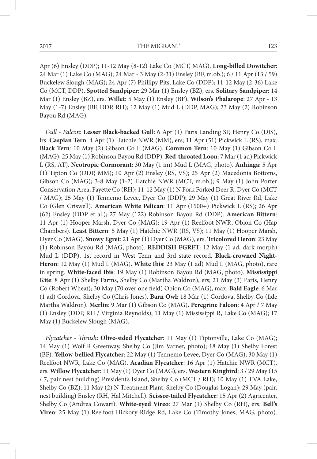Apr (6) Ensley (DDP); 11-12 May (8-12) Lake Co (MCT, MAG). **Long-billed Dowitcher**: 24 Mar (1) Lake Co (MAG); 24 Mar - 3 May (2-31) Ensley (BF, m.ob.); 6 / 11 Apr (13 / 59) Buckelew Slough (MAG); 24 Apr (7) Phillipy Pits, Lake Co (DDP); 11-12 May (2-36) Lake Co (MCT, DDP). **Spotted Sandpiper**: 29 Mar (1) Ensley (BZ), ers. **Solitary Sandpiper**: 14 Mar (1) Ensley (BZ), ers. **Willet**: 5 May (1) Ensley (BF). **Wilson's Phalarope**: 27 Apr - 13 May (1-7) Ensley (BF, DDP, RH); 12 May (1) Mud L (DDP, MAG); 23 May (2) Robinson Bayou Rd (MAG).

*Gull - Falcon*: **Lesser Black-backed Gull**: 6 Apr (1) Paris Landing SP, Henry Co (DJS), lrs. **Caspian Tern**: 4 Apr (1) Hatchie NWR (MM), ers; 11 Apr (51) Pickwick L (RS), max. **Black Tern**: 10 May (2) Gibson Co L (MAG). **Common Tern**: 10 May (1) Gibson Co L (MAG); 25 May (1) Robinson Bayou Rd (DDP). **Red-throated Loon**: 7 Mar (1 ad) Pickwick L (RS, AT). **Neotropic Cormorant**: 30 May (1 im) Mud L (MAG, photo). **Anhinga**: 5 Apr (1) Tipton Co (DDP, MM); 10 Apr (2) Ensley (RS, VS); 25 Apr (2) Macedonia Bottoms, Gibson Co (MAG); 3-8 May (1-2) Hatchie NWR (MCT, m.ob.); 9 May (1) John Porter Conservation Area, Fayette Co (RH); 11-12 May (1) N Fork Forked Deer R, Dyer Co (MCT / MAG); 25 May (1) Tennemo Levee, Dyer Co (DDP); 29 May (1) Great River Rd, Lake Co (Glen Criswell). **American White Pelican**: 11 Apr (1500+) Pickwick L (RS); 26 Apr (62) Ensley (DDP et al.); 27 May (122) Robinson Bayou Rd (DDP). **American Bittern**: 11 Apr (1) Hooper Marsh, Dyer Co (MAG); 19 Apr (1) Reelfoot NWR, Obion Co (Hap Chambers). **Least Bittern**: 5 May (1) Hatchie NWR (RS, VS); 11 May (1) Hooper Marsh, Dyer Co (MAG). **Snowy Egret**: 21 Apr (1) Dyer Co (MAG), ers. **Tricolored Heron**: 23 May (1) Robinson Bayou Rd (MAG, photo). **REDDISH EGRET**: 12 May (1 ad, dark morph) Mud L (DDP), 1st record in West Tenn and 3rd state record. **Black-crowned Night-Heron**: 12 May (1) Mud L (MAG). **White Ibis**: 23 May (1 ad) Mud L (MAG, photo), rare in spring. **White-faced Ibis**: 19 May (1) Robinson Bayou Rd (MAG, photo). **Mississippi Kite**: 8 Apr (1) Shelby Farms, Shelby Co (Martha Waldron), ers; 21 May (3) Paris, Henry Co (Robert Wheat); 30 May (70 over one field) Obion Co (MAG), max. **Bald Eagle**: 6 Mar (1 ad) Cordova, Shelby Co (Chris Jones). **Barn Owl**: 18 Mar (1) Cordova, Shelby Co (fide Martha Waldron). **Merlin**: 9 Mar (1) Gibson Co (MAG). **Peregrine Falcon**: 4 Apr / 7 May (1) Ensley (DDP, RH / Virginia Reynolds); 11 May (1) Mississippi R, Lake Co (MAG); 17 May (1) Buckelew Slough (MAG).

*Flycatcher - Thrush*: **Olive-sided Flycatcher**: 11 May (1) Tiptonville, Lake Co (MAG); 14 May (1) Wolf R Greenway, Shelby Co (Jim Varner, photo); 18 May (1) Shelby Forest (BF). **Yellow-bellied Flycatcher**: 22 May (1) Tennemo Levee, Dyer Co (MAG); 30 May (1) Reelfoot NWR, Lake Co (MAG). **Acadian Flycatcher**: 16 Apr (1) Hatchie NWR (MCT), ers. **Willow Flycatcher**: 11 May (1) Dyer Co (MAG), ers. **Western Kingbird**: 3 / 29 May (15 / 7, pair nest building) President's Island, Shelby Co (MCT / RH); 10 May (1) TVA Lake, Shelby Co (BZ); 11 May (2) N Treatment Plant, Shelby Co (Douglas Logan); 29 May (pair, nest building) Ensley (RH, Hal Mitchell). **Scissor-tailed Flycatcher**: 15 Apr (2) Agricenter, Shelby Co (Andrea Cowart). **White-eyed Vireo**: 27 Mar (1) Shelby Co (RH), ers. **Bell's Vireo**: 25 May (1) Reelfoot Hickory Ridge Rd, Lake Co (Timothy Jones, MAG, photo).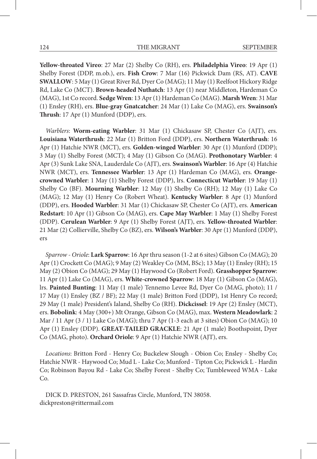**Yellow-throated Vireo**: 27 Mar (2) Shelby Co (RH), ers. **Philadelphia Vireo**: 19 Apr (1) Shelby Forest (DDP, m.ob.), ers. **Fish Crow**: 7 Mar (16) Pickwick Dam (RS, AT). **CAVE SWALLOW**: 5 May (1) Great River Rd, Dyer Co (MAG); 11 May (1) Reelfoot Hickory Ridge Rd, Lake Co (MCT). **Brown-headed Nuthatch**: 13 Apr (1) near Middleton, Hardeman Co (MAG), 1st Co record. **Sedge Wren**: 13 Apr (1) Hardeman Co (MAG). **Marsh Wren**: 31 Mar (1) Ensley (RH), ers. **Blue-gray Gnatcatcher**: 24 Mar (1) Lake Co (MAG), ers. **Swainson's Thrush**: 17 Apr (1) Munford (DDP), ers.

*Warblers*: **Worm-eating Warbler**: 31 Mar (1) Chickasaw SP, Chester Co (AJT), ers. **Louisiana Waterthrush**: 22 Mar (1) Britton Ford (DDP), ers. **Northern Waterthrush**: 16 Apr (1) Hatchie NWR (MCT), ers. **Golden-winged Warbler**: 30 Apr (1) Munford (DDP); 3 May (1) Shelby Forest (MCT); 4 May (1) Gibson Co (MAG). **Prothonotary Warbler**: 4 Apr (3) Sunk Lake SNA, Lauderdale Co (AJT), ers. **Swainson's Warbler**: 16 Apr (4) Hatchie NWR (MCT), ers. **Tennessee Warbler**: 13 Apr (1) Hardeman Co (MAG), ers. **Orangecrowned Warbler**: 1 May (1) Shelby Forest (DDP), lrs. **Connecticut Warbler**: 19 May (1) Shelby Co (BF). **Mourning Warbler**: 12 May (1) Shelby Co (RH); 12 May (1) Lake Co (MAG); 12 May (1) Henry Co (Robert Wheat). **Kentucky Warbler**: 8 Apr (1) Munford (DDP), ers. **Hooded Warbler**: 31 Mar (1) Chickasaw SP, Chester Co (AJT), ers. **American Redstart**: 10 Apr (1) Gibson Co (MAG), ers. **Cape May Warbler**: 1 May (1) Shelby Forest (DDP). **Cerulean Warbler**: 9 Apr (1) Shelby Forest (AJT), ers. **Yellow-throated Warbler**: 21 Mar (2) Collierville, Shelby Co (BZ), ers. **Wilson's Warbler**: 30 Apr (1) Munford (DDP), ers

*Sparrow - Oriole*: **Lark Sparrow**: 16 Apr thru season (1-2 at 6 sites) Gibson Co (MAG); 20 Apr (1) Crockett Co (MAG); 9 May (2) Weakley Co (MM, BSc); 13 May (1) Ensley (RH); 15 May (2) Obion Co (MAG); 29 May (1) Haywood Co (Robert Ford). **Grasshopper Sparrow**: 11 Apr (1) Lake Co (MAG), ers. **White-crowned Sparrow**: 18 May (1) Gibson Co (MAG), lrs. **Painted Bunting**: 11 May (1 male) Tennemo Levee Rd, Dyer Co (MAG, photo); 11 / 17 May (1) Ensley (BZ / BF); 22 May (1 male) Britton Ford (DDP), 1st Henry Co record; 29 May (1 male) President's Ialand, Shelby Co (RH). **Dickcissel**: 19 Apr (2) Ensley (MCT), ers. **Bobolink**: 4 May (300+) Mt Orange, Gibson Co (MAG), max. **Western Meadowlark**: 2 Mar / 11 Apr (3 / 1) Lake Co (MAG); thru 7 Apr (1-3 each at 3 sites) Obion Co (MAG); 10 Apr (1) Ensley (DDP). **GREAT-TAILED GRACKLE**: 21 Apr (1 male) Boothspoint, Dyer Co (MAG, photo). **Orchard Oriole**: 9 Apr (1) Hatchie NWR (AJT), ers.

*Locations*: Britton Ford - Henry Co; Buckelew Slough - Obion Co; Ensley - Shelby Co; Hatchie NWR - Haywood Co; Mud L - Lake Co; Munford - Tipton Co; Pickwick L - Hardin Co; Robinson Bayou Rd - Lake Co; Shelby Forest - Shelby Co; Tumbleweed WMA - Lake Co.

DICK D. PRESTON, 261 Sassafras Circle, Munford, TN 38058. dickpreston@rittermail.com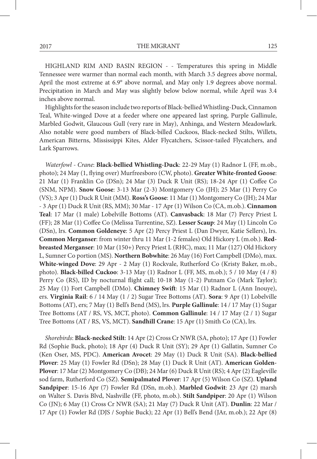HIGHLAND RIM AND BASIN REGION - - Temperatures this spring in Middle Tennessee were warmer than normal each month, with March 3.5 degrees above normal, April the most extreme at 6.9° above normal, and May only 1.9 degrees above normal. Precipitation in March and May was slightly below below normal, while April was 3.4 inches above normal.

Highlights for the season include two reports of Black-bellied Whistling-Duck, Cinnamon Teal, White-winged Dove at a feeder where one appeared last spring, Purple Gallinule, Marbled Godwit, Glaucous Gull (very rare in May), Anhinga, and Western Meadowlark. Also notable were good numbers of Black-billed Cuckoos, Black-necked Stilts, Willets, American Bitterns, Mississippi Kites, Alder Flycatchers, Scissor-tailed Flycatchers, and Lark Sparrows.

*Waterfowl - Crane*: **Black-bellied Whistling-Duck**: 22-29 May (1) Radnor L (FF, m.ob., photo); 24 May (1, flying over) Murfreesboro (CW, photo). **Greater White-fronted Goose**: 21 Mar (1) Franklin Co (DSn); 24 Mar (3) Duck R Unit (RS); 18-24 Apr (1) Coffee Co (SNM, NPM). **Snow Goose**: 3-13 Mar (2-3) Montgomery Co (JH); 25 Mar (1) Perry Co (VS); 3 Apr (1) Duck R Unit (MM). **Ross's Goose**: 11 Mar (1) Montgomery Co (JH); 24 Mar - 3 Apr (1) Duck R Unit (RS, MM); 30 Mar - 17 Apr (1) Wilson Co (CA, m.ob.). **Cinnamon Teal**: 17 Mar (1 male) Lobelville Bottoms (AT). **Canvasback**: 18 Mar (7) Percy Priest L (FF); 28 Mar (1) Coffee Co (Melissa Turrentine, SZ). **Lesser Scaup**: 24 May (1) Lincoln Co (DSn), lrs. **Common Goldeneye**: 5 Apr (2) Percy Priest L (Dan Dwyer, Katie Sellers), lrs. **Common Merganser**: from winter thru 11 Mar (1-2 females) Old Hickory L (m.ob.). **Redbreasted Merganser**: 10 Mar (150+) Percy Priest L (RHC), max; 11 Mar (127) Old Hickory L, Sumner Co portion (MS). **Northern Bobwhite**: 26 May (16) Fort Campbell (DMo), max. **White-winged Dove**: 29 Apr - 2 May (1) Rockvale, Rutherford Co (Kristy Baker, m.ob., photo). **Black-billed Cuckoo**: 3-13 May (1) Radnor L (FF, MS, m.ob.); 5 / 10 May (4 / 8) Perry Co (RS), ID by nocturnal flight call; 10-18 May (1-2) Putnam Co (Mark Taylor); 25 May (1) Fort Campbell (DMo). **Chimney Swift**: 15 Mar (1) Radnor L (Ann Inouye), ers. **Virginia Rail**: 6 / 14 May (1 / 2) Sugar Tree Bottoms (AT). **Sora**: 9 Apr (1) Lobelville Bottoms (AT), ers; 7 May (1) Bell's Bend (MS), lrs. **Purple Gallinule**: 14 / 17 May (1) Sugar Tree Bottoms (AT / RS, VS, MCT, photo). **Common Gallinule**: 14 / 17 May (2 / 1) Sugar Tree Bottoms (AT / RS, VS, MCT). **Sandhill Crane**: 15 Apr (1) Smith Co (CA), lrs.

*Shorebirds*: **Black-necked Stilt**: 14 Apr (2) Cross Cr NWR (SA, photo); 17 Apr (1) Fowler Rd (Sophie Buck, photo); 18 Apr (4) Duck R Unit (SY); 29 Apr (1) Gallatin, Sumner Co (Ken Oser, MS, PDC). **American Avocet**: 29 May (1) Duck R Unit (SA). **Black-bellied Plover**: 25 May (1) Fowler Rd (DSn); 28 May (1) Duck R Unit (AT). **American Golden-Plover**: 17 Mar (2) Montgomery Co (DB); 24 Mar (6) Duck R Unit (RS); 4 Apr (2) Eagleville sod farm, Rutherford Co (SZ). **Semipalmated Plover**: 17 Apr (5) Wilson Co (SZ). **Upland Sandpiper**: 15-16 Apr (7) Fowler Rd (DSn, m.ob.). **Marbled Godwit**: 23 Apr (2) marsh on Walter S. Davis Blvd, Nashville (FF, photo, m.ob.). **Stilt Sandpiper**: 20 Apr (1) Wilson Co (JN); 6 May (1) Cross Cr NWR (SA); 21 May (7) Duck R Unit (AT). **Dunlin**: 22 Mar / 17 Apr (1) Fowler Rd (DJS / Sophie Buck); 22 Apr (1) Bell's Bend (JAr, m.ob.); 22 Apr (8)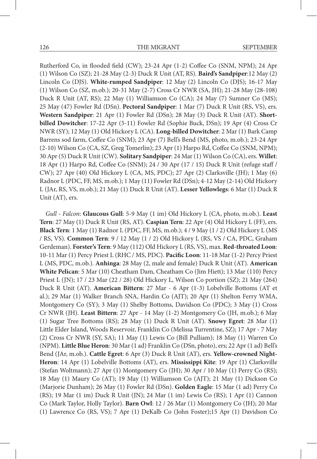Rutherford Co, in flooded field (CW); 23-24 Apr (1-2) Coffee Co (SNM, NPM); 24 Apr (1) Wilson Co (SZ); 21-28 May (2-3) Duck R Unit (AT, RS). **Baird's Sandpiper**:12 May (2) Lincoln Co (DJS). **White-rumped Sandpiper**: 12 May (2) Lincoln Co (DJS); 16-17 May (1) Wilson Co (SZ, m.ob.); 20-31 May (2-7) Cross Cr NWR (SA, JH); 21-28 May (28-108) Duck R Unit (AT, RS); 22 May (1) Williamson Co (CA); 24 May (7) Sumner Co (MS); 25 May (47) Fowler Rd (DSn). **Pectoral Sandpiper**: 1 Mar (7) Duck R Unit (RS, VS), ers. **Western Sandpiper**: 21 Apr (1) Fowler Rd (DSn); 28 May (3) Duck R Unit (AT). **Shortbilled Dowitcher**: 17-22 Apr (5-11) Fowler Rd (Sophie Buck, DSn); 19 Apr (4) Cross Cr NWR (SY); 12 May (1) Old Hickory L (CA). **Long-billed Dowitcher**: 2 Mar (1) Bark Camp Barrens sod farm, Coffee Co (SNM); 23 Apr (7) Bell's Bend (MS, photo, m.ob.); 23-24 Apr (2-10) Wilson Co (CA, SZ, Greg Tomerlin); 23 Apr (1) Harpo Rd, Coffee Co (SNM, NPM); 30 Apr (5) Duck R Unit (CW). **Solitary Sandpiper**: 24 Mar (1) Wilson Co (CA), ers. **Willet**: 18 Apr (1) Harpo Rd, Coffee Co (SNM); 24 / 30 Apr (17 / 15) Duck R Unit (refuge staff / CW); 27 Apr (40) Old Hickory L (CA, MS, PDC); 27 Apr (2) Clarksville (JH); 1 May (6) Radnor L (PDC, FF, MS, m.ob.); 1 May (11) Fowler Rd (DSn); 4-12 May (2-14) Old Hickory L (JAr, RS, VS, m.ob.); 21 May (1) Duck R Unit (AT). **Lesser Yellowlegs**: 6 Mar (1) Duck R Unit (AT), ers.

*Gull - Falcon*: **Glaucous Gull**: 5-9 May (1 im) Old Hickory L (CA, photo, m.ob.). **Least Tern**: 27 May (1) Duck R Unit (RS, AT). **Caspian Tern**: 22 Apr (4) Old Hickory L (FF), ers. **Black Tern**: 1 May (1) Radnor L (PDC, FF, MS, m.ob.); 4 / 9 May (1 / 2) Old Hickory L (MS / RS, VS). **Common Tern**: 9 / 12 May (1 / 2) Old Hickory L (RS, VS / CA, PDC, Graham Gerdeman). **Forster's Tern**: 9 May (112) Old Hickory L (RS, VS), max. **Red-throated Loon**: 10-11 Mar (1) Percy Priest L (RHC / MS, PDC). **Pacific Loon**: 11-18 Mar (1-2) Percy Priest L (MS, PDC, m.ob.). **Anhinga**: 28 May (2, male and female) Duck R Unit (AT). **American White Pelican**: 5 Mar (10) Cheatham Dam, Cheatham Co (Jim Hiett); 13 Mar (110) Percy Priest L (JN); 17 / 23 Mar (22 / 28) Old Hickory L, Wilson Co portion (SZ); 21 May (264) Duck R Unit (AT). **American Bittern**: 27 Mar - 6 Apr (1-3) Lobelville Bottoms (AT et al.); 29 Mar (1) Walker Branch SNA, Hardin Co (AJT); 20 Apr (1) Shelton Ferry WMA, Montgomery Co (SY); 3 May (1) Shelby Bottoms, Davidson Co (PDC); 3 May (1) Cross Cr NWR (JH). **Least Bittern**: 27 Apr - 14 May (1-2) Montgomery Co (JH, m.ob.); 6 May (1) Sugar Tree Bottoms (RS); 28 May (1) Duck R Unit (AT). **Snowy Egret**: 28 Mar (1) Little Elder Island, Woods Reservoir, Franklin Co (Melissa Turrentine, SZ); 17 Apr - 7 May (2) Cross Cr NWR (SY, SA); 11 May (1) Lewis Co (Bill Pulliam); 18 May (1) Warren Co (NPM). **Little Blue Heron**: 30 Mar (1 ad) Franklin Co (DSn, photo), ers; 22 Apr (1 ad) Bell's Bend (JAr, m.ob.). **Cattle Egret**: 6 Apr (3) Duck R Unit (AT), ers. **Yellow-crowned Night-Heron**: 14 Apr (1) Lobelville Bottoms (AT), ers. **Mississippi Kite**: 19 Apr (1) Clarksville (Stefan Woltmann); 27 Apr (1) Montgomery Co (JH); 30 Apr / 10 May (1) Perry Co (RS); 18 May (1) Maury Co (AT); 19 May (1) Williamson Co (AJT); 21 May (1) Dickson Co (Marjorie Dunham); 26 May (1) Fowler Rd (DSn). **Golden Eagle**: 15 Mar (1 ad) Perry Co (RS); 19 Mar (1 im) Duck R Unit (JN); 24 Mar (1 im) Lewis Co (RS); 1 Apr (1) Cannon Co (Mark Taylor, Holly Taylor). **Barn Owl**: 12 / 26 Mar (1) Montgomery Co (JH); 20 Mar (1) Lawrence Co (RS, VS); 7 Apr (1) DeKalb Co (John Foster);15 Apr (1) Davidson Co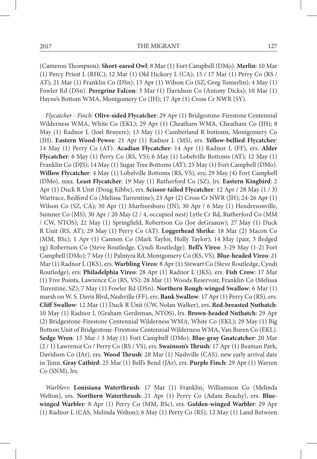(Cameron Thompson). **Short-eared Owl**: 8 Mar (1) Fort Campbell (DMo). **Merlin**: 10 Mar (1) Percy Priest L (RHC); 12 Mar (1) Old Hickory L (CA); 15 / 17 Mar (1) Perry Co (RS / AT); 21 Mar (1) Franklin Co (DSn); 13 Apr (1) Wilson Co (SZ, Greg Tomerlin); 4 May (1) Fowler Rd (DSn). **Peregrine Falcon**: 3 Mar (1) Davidson Co (Antony Dicks); 10 Mar (1) Hayne's Bottom WMA, Montgomery Co (JH); 17 Apr (1) Cross Cr NWR (SY).

*Flycatcher - Finch*: **Olive-sided Flycatcher**: 29 Apr (1) Bridgestone-Firestone Centennial Wilderness WMA, White Co (EKL); 29 Apr (1) Cheatham WMA, Cheatham Co (JH); 8 May (1) Radnor L (Joel Bruyere); 13 May (1) Cumberland R bottoms, Montgomery Co (JH). **Eastern Wood-Pewee**: 21 Apr (1) Radnor L (MS), ers. **Yellow-bellied Flycatcher**: 14 May (1) Perry Co (AT). **Acadian Flycatcher**: 14 Apr (1) Radnor L (FF), ers. **Alder Flycatcher**: 6 May (1) Perry Co (RS, VS); 6 May (1) Lobelville Bottoms (AT); 12 May (1) Franklin Co (DJS); 14 May (1) Sugar Tree Bottoms (AT); 25 May (1) Fort Campbell (DMo). **Willow Flycatcher**: 4 May (1) Lobelville Bottoms (RS, VS), ers; 29 May (4) Fort Campbell (DMo), max. **Least Flycatcher**: 19 May (1) Rutherford Co (SZ), lrs. **Eastern Kingbird**: 2 Apr (1) Duck R Unit (Doug Kibbe), ers. **Scissor-tailed Flycatcher**: 12 Apr / 28 May (1 / 3) Wartrace, Bedford Co (Melissa Turrentine); 23 Apr (2) Cross Cr NWR (JH); 24-26 Apr (1) Wilson Co (SZ, CA); 30 Apr (1) Murfreesboro (JN); 30 Apr / 6 May (1) Hendersonville, Sumner Co (MS); 30 Apr / 20 May (2 / 4, occupied nest) Lytle Cr Rd, Rutherford Co (MM / CW, NTOS); 22 May (1) Springfield, Robertson Co (Joe deGraauw); 27 May (1) Duck R Unit (RS, AT); 29 May (1) Perry Co (AT). **Loggerhead Shrike**: 18 Mar (2) Macon Co (MM, BSc); 1 Apr (1) Cannon Co (Mark Taylor, Holly Taylor); 14 May (pair, 3 fledged yg) Robertson Co (Steve Routledge, Cyndi Routledge). **Bell's Vireo**: 3-29 May (1-2) Fort Campbell (DMo); 7 May (1) Palmyra Rd, Montgomery Co (RS, VS). **Blue-headed Vireo**: 21 Mar (1) Radnor L (JKS), ers. **Warbling Vireo**: 8 Apr (1) Stewart Co (Steve Routledge, Cyndi Routledge), ers. **Philadelphia Vireo**: 28 Apr (1) Radnor L (JKS), ers. **Fish Crow**: 17 Mar (1) Five Points, Lawrence Co (RS, VS); 28 Mar (1) Woods Reservoir, Franklin Co (Melissa Turentine, SZ); 7 May (1) Fowler Rd (DSn). **Northern Rough-winged Swallow**: 6 Mar (1) marsh on W. S. Davis Blvd, Nashville (FF), ers. **Bank Swallow**: 17 Apr (1) Perry Co (RS), ers. **Cliff Swallow**: 12 Mar (1) Duck R Unit (CW, Nolan Walker), ers. **Red-breasted Nuthatch**: 10 May (1) Radnor L (Graham Gerdeman, NTOS), lrs. **Brown-headed Nuthatch**: 29 Apr (2) Bridgestone-Firestone Centennial Wilderness WMA, White Co (EKL); 29 May (1) Big Bottom Unit of Bridgestone-Firestone Centennial Wilderness WMA, Van Buren Co (EKL). **Sedge Wren**: 15 Mar / 3 May (1) Fort Campbell (DMo). **Blue-gray Gnatcatcher**: 20 Mar (2 / 1) Lawrence Co / Perry Co (RS / VS), ers. **Swainson's Thrush**: 17 Apr (1) Beaman Park, Davidson Co (JAr), ers. **Wood Thrush**: 28 Mar (1) Nashville (CAS), new early arrival date in Tenn. **Gray Catbird**: 25 Mar (1) Bell's Bend (JAr), ers. **Purple Finch**: 29 Apr (1) Warren Co (SNM), lrs.

*Warblers*: **Louisiana Waterthrush**: 17 Mar (1) Franklin, Williamson Co (Melinda Welton), ers. **Northern Waterthrush**: 21 Apr (1) Perry Co (Adam Beachy), ers. **Bluewinged Warbler**: 8 Apr (1) Perry Co (MM, BSc), ers. **Golden-winged Warbler**: 29 Apr (1) Radnor L (CAS, Melinda Welton); 6 May (1) Perry Co (RS); 12 May (1) Land Between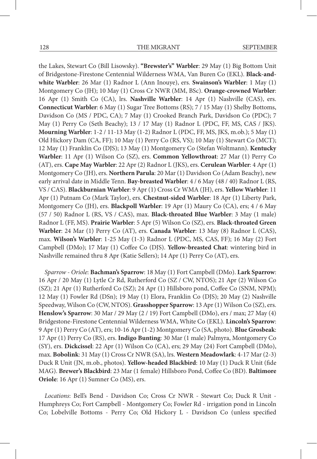the Lakes, Stewart Co (Bill Lisowsky). **"Brewster's" Warbler**: 29 May (1) Big Bottom Unit of Bridgestone-Firestone Centennial Wilderness WMA, Van Buren Co (EKL). **Black-andwhite Warbler**: 26 Mar (1) Radnor L (Ann Inouye), ers. **Swainson's Warbler**: 1 May (1) Montgomery Co (JH); 10 May (1) Cross Cr NWR (MM, BSc). **Orange-crowned Warbler**: 16 Apr (1) Smith Co (CA), lrs. **Nashville Warbler**: 14 Apr (1) Nashville (CAS), ers. **Connecticut Warbler**: 6 May (1) Sugar Tree Bottoms (RS); 7 / 15 May (1) Shelby Bottoms, Davidson Co (MS / PDC, CA); 7 May (1) Crooked Branch Park, Davidson Co (PDC); 7 May (1) Perry Co (Seth Beachy); 13 / 17 May (1) Radnor L (PDC, FF, MS, CAS / JKS). **Mourning Warbler**: 1-2 / 11-13 May (1-2) Radnor L (PDC, FF, MS, JKS, m.ob.); 5 May (1) Old Hickory Dam (CA, FF); 10 May (1) Perry Co (RS, VS); 10 May (1) Stewart Co (MCT); 12 May (1) Franklin Co (DJS); 13 May (1) Montgomery Co (Stefan Woltmann). **Kentucky Warbler**: 11 Apr (1) Wilson Co (SZ), ers. **Common Yellowthroat**: 27 Mar (1) Perry Co (AT), ers. **Cape May Warbler**: 22 Apr (2) Radnor L (JKS), ers. **Cerulean Warbler**: 4 Apr (1) Montgomery Co (JH), ers. **Northern Parula**: 20 Mar (1) Davidson Co (Adam Beachy), new early arrival date in Middle Tenn. **Bay-breasted Warbler**: 4 / 6 May (48 / 40) Radnor L (RS, VS / CAS). **Blackburnian Warbler**: 9 Apr (1) Cross Cr WMA (JH), ers. **Yellow Warbler**: 11 Apr (1) Putnam Co (Mark Taylor), ers. **Chestnut-sided Warbler**: 18 Apr (1) Liberty Park, Montgomery Co (JH), ers. **Blackpoll Warbler**: 19 Apr (1) Maury Co (CA), ers; 4 / 6 May (57 / 50) Radnor L (RS, VS / CAS), max. **Black-throated Blue Warbler**: 3 May (1 male) Radnor L (FF, MS). **Prairie Warbler**: 5 Apr (5) Wilson Co (SZ), ers. **Black-throated Green Warbler**: 24 Mar (1) Perry Co (AT), ers. **Canada Warbler**: 13 May (8) Radnor L (CAS), max. **Wilson's Warbler**: 1-25 May (1-3) Radnor L (PDC, MS, CAS, FF); 16 May (2) Fort Campbell (DMo); 17 May (1) Coffee Co (DJS). **Yellow-breasted Chat**: wintering bird in Nashville remained thru 8 Apr (Katie Sellers); 14 Apr (1) Perry Co (AT), ers.

*Sparrow - Oriole*: **Bachman's Sparrow**: 18 May (1) Fort Campbell (DMo). **Lark Sparrow**: 16 Apr / 20 May (1) Lytle Cr Rd, Rutherford Co (SZ / CW, NTOS); 21 Apr (2) Wilson Co (SZ); 21 Apr (1) Rutherford Co (SZ); 24 Apr (1) Hillsboro pond, Coffee Co (SNM, NPM); 12 May (1) Fowler Rd (DSn); 19 May (1) Elora, Franklin Co (DJS); 20 May (2) Nashville Speedway, Wilson Co (CW, NTOS). **Grasshopper Sparrow**: 13 Apr (1) Wilson Co (SZ), ers. **Henslow's Sparrow**: 30 Mar / 29 May (2 / 19) Fort Campbell (DMo), ers / max; 27 May (4) Bridgestone-Firestone Centennial Wilderness WMA, White Co (EKL). **Lincoln's Sparrow**: 9 Apr (1) Perry Co (AT), ers; 10-16 Apr (1-2) Montgomery Co (SA, photo). **Blue Grosbeak**: 17 Apr (1) Perry Co (RS), ers. **Indigo Bunting**: 30 Mar (1 male) Palmyra, Montgomery Co (SY), ers. **Dickcissel**: 22 Apr (1) Wilson Co (CA), ers; 29 May (24) Fort Campbell (DMo), max. **Bobolink**: 31 May (1) Cross Cr NWR (SA), lrs. **Western Meadowlark**: 4-17 Mar (2-3) Duck R Unit (JN, m.ob., photos). **Yellow-headed Blackbird**: 10 May (1) Duck R Unit (fide MAG). **Brewer's Blackbird**: 23 Mar (1 female) Hillsboro Pond, Coffee Co (BD). **Baltimore Oriole**: 16 Apr (1) Sumner Co (MS), ers.

*Locations*: Bell's Bend - Davidson Co; Cross Cr NWR - Stewart Co; Duck R Unit - Humphreys Co; Fort Campbell - Montgomery Co; Fowler Rd - irrigation pond in Lincoln Co; Lobelville Bottoms - Perry Co; Old Hickory L - Davidson Co (unless specified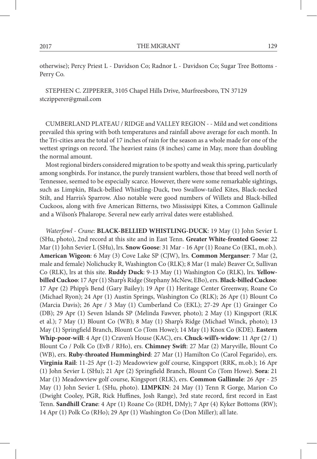otherwise); Percy Priest L - Davidson Co; Radnor L - Davidson Co; Sugar Tree Bottoms - Perry Co.

STEPHEN C. ZIPPERER, 3105 Chapel Hills Drive, Murfreesboro, TN 37129 stczipperer@gmail.com

CUMBERLAND PLATEAU / RIDGE and VALLEY REGION - - Mild and wet conditions prevailed this spring with both temperatures and rainfall above average for each month. In the Tri-cities area the total of 17 inches of rain for the season as a whole made for one of the wettest springs on record. The heaviest rains (8 inches) came in May, more than doubling the normal amount.

Most regional birders considered migration to be spotty and weak this spring, particularly among songbirds. For instance, the purely transient warblers, those that breed well north of Tennessee, seemed to be especially scarce. However, there were some remarkable sightings, such as Limpkin, Black-bellied Whistling-Duck, two Swallow-tailed Kites, Black-necked Stilt, and Harris's Sparrow. Also notable were good numbers of Willets and Black-billed Cuckoos, along with five American Bitterns, two Mississippi Kites, a Common Gallinule and a Wilson's Phalarope. Several new early arrival dates were established.

*Waterfowl - Crane*: **BLACK-BELLIED WHISTLING-DUCK**: 19 May (1) John Sevier L (SHu, photo), 2nd record at this site and in East Tenn. **Greater White-fronted Goose**: 22 Mar (1) John Sevier L (SHu), lrs. **Snow Goose**: 31 Mar - 16 Apr (1) Roane Co (EKL, m.ob.). **American Wigeon**: 6 May (3) Cove Lake SP (CJW), lrs. **Common Merganser**: 7 Mar (2, male and female) Nolichucky R, Washington Co (RLK); 8 Mar (1 male) Beaver Cr, Sullivan Co (RLK), lrs at this site. **Ruddy Duck**: 9-13 May (1) Washington Co (RLK), lrs. **Yellowbilled Cuckoo**: 17 Apr (1) Sharp's Ridge (Stephany McNew, EBo), ers. **Black-billed Cuckoo**: 17 Apr (2) Phipp's Bend (Gary Bailey); 19 Apr (1) Heritage Center Greenway, Roane Co (Michael Ryon); 24 Apr (1) Austin Springs, Washington Co (RLK); 26 Apr (1) Blount Co (Marcia Davis); 26 Apr / 3 May (1) Cumberland Co (EKL); 27-29 Apr (1) Grainger Co (DB); 29 Apr (1) Seven Islands SP (Melinda Fawver, photo); 2 May (1) Kingsport (RLK et al.); 7 May (1) Blount Co (WB); 8 May (1) Sharp's Ridge (Michael Winck, photo); 13 May (1) Springfield Branch, Blount Co (Tom Howe); 14 May (1) Knox Co (KDE). **Eastern Whip-poor-will**: 4 Apr (1) Craven's House (KAC), ers. **Chuck-will's-widow**: 11 Apr (2 / 1) Blount Co / Polk Co (EvB / RHo), ers. **Chimney Swift**: 27 Mar (2) Maryville, Blount Co (WB), ers. **Ruby-throated Hummingbird**: 27 Mar (1) Hamilton Co (Carol Fegarido), ers. **Virginia Rail**: 11-25 Apr (1-2) Meadowview golf course, Kingsport (RRK, m.ob.); 16 Apr (1) John Sevier L (SHu); 21 Apr (2) Springfield Branch, Blount Co (Tom Howe). **Sora**: 21 Mar (1) Meadowview golf course, Kingsport (RLK), ers. **Common Gallinule**: 26 Apr - 25 May (1) John Sevier L (SHu, photo). **LIMPKIN**: 24 May (1) Tenn R Gorge, Marion Co (Dwight Cooley, PGR, Rick Huffines, Josh Range), 3rd state record, first record in East Tenn. **Sandhill Crane**: 4 Apr (1) Roane Co (RDH, DMy); 7 Apr (4) Kyker Bottoms (RW); 14 Apr (1) Polk Co (RHo); 29 Apr (1) Washington Co (Don Miller); all late.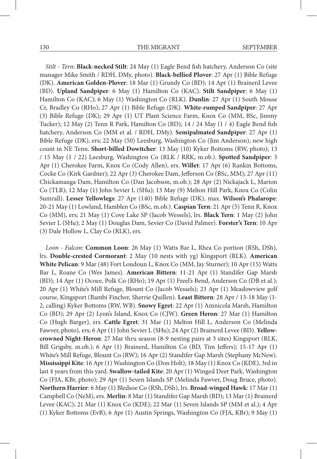*Stilt - Tern*: **Black-necked Stilt**: 24 May (1) Eagle Bend fish hatchery, Anderson Co (site manager Mike Smith / RDH, DMy, photo). **Black-bellied Plover**: 27 Apr (1) Bible Refuge (DK). **American Golden-Plover**: 18 Mar (1) Grundy Co (BD); 14 Apr (1) Brainerd Levee (BD). **Upland Sandpiper**: 6 May (1) Hamilton Co (KAC). **Stilt Sandpiper**: 6 May (1) Hamilton Co (KAC); 6 May (1) Washington Co (RLK). **Dunlin**: 27 Apr (1) South Mouse Cr, Bradley Co (RHo); 27 Apr (1) Bible Refuge (DK). **White-rumped Sandpiper**: 27 Apr (3) Bible Refuge (DK); 29 Apr (1) UT Plant Science Farm, Knox Co (MM, BSc, Jimmy Tucker); 12 May (2) Tenn R Park, Hamilton Co (BD); 14 / 24 May (1 / 4) Eagle Bend fish hatchery, Anderson Co (MM et al. / RDH, DMy). **Semipalmated Sandpiper**: 27 Apr (1) Bible Refuge (DK), ers; 22 May (50) Leesburg, Washington Co (Jim Anderson), new high count in NE Tenn. **Short-billed Dowitcher**: 13 May (10) Kyker Bottoms (RW, photo); 13 / 15 May (1 / 22) Leesburg, Washington Co (RLK / RRK, m.ob.). **Spotted Sandpiper**: 3 Apr (1) Cherokee Farm, Knox Co (Cody Allen), ers. **Willet**: 17 Apr (6) Rankin Bottoms, Cocke Co (Kirk Gardner); 22 Apr (3) Cherokee Dam, Jefferson Co (BSc, MM); 27 Apr (11) Chickamauga Dam, Hamilton Co (Dan Jacobson, m.ob.); 28 Apr (2) Nickajack L, Marion Co (TLR); 12 May (1) John Sevier L (SHu); 13 May (9) Melton Hill Park, Knox Co (Colin Sumrall). **Lesser Yellowlegs**: 27 Apr (140) Bible Refuge (DK), max. **Wilson's Phalarope**: 20-21 May (1) Lowland, Hamblen Co (BSc, m.ob.). **Caspian Tern**: 21 Apr (5) Tenn R, Knox Co (MM), ers; 21 May (1) Cove Lake SP (Jacob Wessels), lrs. **Black Tern**: 1 May (2) John Sevier L (SHu); 2 May (1) Douglas Dam, Sevier Co (David Palmer). **Forster's Tern**: 10 Apr (3) Dale Hollow L, Clay Co (RLK), ers.

*Loon - Falcon*: **Common Loon**: 26 May (1) Watts Bar L, Rhea Co portion (RSh, DSh), lrs. **Double-crested Cormorant**: 2 May (10 nests with yg) Kingsport (RLK). **American White Pelican**: 9 Mar (48) Fort Loudoun L, Knox Co (MM, Jay Sturner); 10 Apr (15) Watts Bar L, Roane Co (Wes James). **American Bittern**: 11-21 Apr (1) Standifer Gap Marsh (BD); 14 Apr (1) Ocoee, Polk Co (RHo); 19 Apr (1) Freel's Bend, Anderson Co (DB et al.); 20 Apr (1) White's Mill Refuge, Blount Co (Jacob Wessels); 23 Apr (1) Meadowview golf course, Kingsport (Bambi Fincher, Sherrie Quillen). **Least Bittern**: 28 Apr / 13-18 May (1- 2, calling) Kyker Bottoms (RW, WB). **Snowy Egret**: 22 Apr (1) Amnicola Marsh, Hamilton Co (BD); 29 Apr (2) Lyon's Island, Knox Co (CJW). **Green Heron**: 27 Mar (1) Hamilton Co (Hugh Barger), ers. **Cattle Egret**: 31 Mar (1) Melton Hill L, Anderson Co (Melinda Fawver, photo), ers; 6 Apr (1) John Sevier L (SHu); 24 Apr (2) Brainerd Levee (BD). **Yellowcrowned Night-Heron**: 27 Mar thru season (8-9 nesting pairs at 3 sites) Kingsport (RLK, Bill Grigsby, m.ob.); 6 Apr (1) Brainerd, Hamilton Co (BD, Tim Jeffers); 15-17 Apr (1) White's Mill Refuge, Blount Co (RW); 16 Apr (2) Standifer Gap Marsh (Stephany McNew). **Mississippi Kite**: 16 Apr (1) Washington Co (Don Holt); 18 May (1) Knox Co (KDE), 3rd in last 4 years from this yard. **Swallow-tailed Kite**: 20 Apr (1) Winged Deer Park, Washington Co (FJA, KBr, photo); 29 Apr (1) Seven Islands SP (Melinda Fawver, Doug Bruce, photo). **Northern Harrier**: 6 May (1) Bledsoe Co (RSh, DSh), lrs. **Broad-winged Hawk**: 17 Mar (1) Campbell Co (NeM), ers. **Merlin**: 8 Mar (1) Standifer Gap Marsh (BD); 13 Mar (1) Brainerd Levee (KAC); 21 Mar (1) Knox Co (KDE); 22 Mar (1) Seven Islands SP (MM et al.); 4 Apr (1) Kyker Bottoms (EvB); 6 Apr (1) Austin Springs, Washington Co (FJA, KBr); 9 May (1)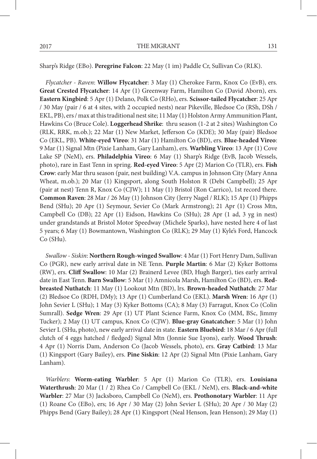Sharp's Ridge (EBo). **Peregrine Falcon**: 22 May (1 im) Paddle Cr, Sullivan Co (RLK).

*Flycatcher - Raven*: **Willow Flycatcher**: 3 May (1) Cherokee Farm, Knox Co (EvB), ers. **Great Crested Flycatcher**: 14 Apr (1) Greenway Farm, Hamilton Co (David Aborn), ers. **Eastern Kingbird**: 5 Apr (1) Delano, Polk Co (RHo), ers. **Scissor-tailed Flycatcher**: 25 Apr / 30 May (pair / 6 at 4 sites, with 2 occupied nests) near Pikeville, Bledsoe Co (RSh, DSh / EKL, PB), ers / max at this traditional nest site; 11 May (1) Holston Army Ammunition Plant, Hawkins Co (Bruce Cole). **Loggerhead Shrike**: thru season (1-2 at 2 sites) Washington Co (RLK, RRK, m.ob.); 22 Mar (1) New Market, Jefferson Co (KDE); 30 May (pair) Bledsoe Co (EKL, PB). **White-eyed Vireo**: 31 Mar (1) Hamilton Co (BD), ers. **Blue-headed Vireo**: 9 Mar (1) Signal Mtn (Pixie Lanham, Gary Lanham), ers. **Warbling Vireo**: 13 Apr (1) Cove Lake SP (NeM), ers. **Philadelphia Vireo**: 6 May (1) Sharp's Ridge (EvB, Jacob Wessels, photo), rare in East Tenn in spring. **Red-eyed Vireo**: 5 Apr (2) Marion Co (TLR), ers. **Fish Crow**: early Mar thru season (pair, nest building) V.A. campus in Johnson City (Mary Anna Wheat, m.ob.); 20 Mar (1) Kingsport, along South Holston R (Debi Campbell); 25 Apr (pair at nest) Tenn R, Knox Co (CJW); 11 May (1) Bristol (Ron Carrico), 1st record there. **Common Raven**: 28 Mar / 26 May (1) Johnson City (Jerry Nagel / RLK); 15 Apr (1) Phipps Bend (SHu); 20 Apr (1) Seymour, Sevier Co (Mark Armstrong); 21 Apr (1) Cross Mtn, Campbell Co (DB); 22 Apr (1) Eidson, Hawkins Co (SHu); 28 Apr (1 ad, 3 yg in nest) under grandstands at Bristol Motor Speedway (Michele Sparks), have nested here 4 of last 5 years; 6 May (1) Bowmantown, Washington Co (RLK); 29 May (1) Kyle's Ford, Hancock Co (SHu).

*Swallow - Siskin*: **Northern Rough-winged Swallow**: 4 Mar (1) Fort Henry Dam, Sullivan Co (PGR), new early arrival date in NE Tenn. **Purple Martin**: 6 Mar (2) Kyker Bottoms (RW), ers. **Cliff Swallow**: 10 Mar (2) Brainerd Levee (BD, Hugh Barger), ties early arrival date in East Tenn. **Barn Swallow**: 5 Mar (1) Amnicola Marsh, Hamilton Co (BD), ers. **Redbreasted Nuthatch**: 11 May (1) Lookout Mtn (BD), lrs. **Brown-headed Nuthatch**: 27 Mar (2) Bledsoe Co (RDH, DMy); 13 Apr (1) Cumberland Co (EKL). **Marsh Wren**: 16 Apr (1) John Sevier L (SHu); 1 May (3) Kyker Bottoms (CA); 8 May (3) Farragut, Knox Co (Colin Sumrall). **Sedge Wren**: 29 Apr (1) UT Plant Science Farm, Knox Co (MM, BSc, Jimmy Tucker); 2 May (1) UT campus, Knox Co (CJW). **Blue-gray Gnatcatcher**: 5 Mar (1) John Sevier L (SHu, photo), new early arrival date in state. **Eastern Bluebird**: 18 Mar / 6 Apr (full clutch of 4 eggs hatched / fledged) Signal Mtn (Jonnie Sue Lyons), early. **Wood Thrush**: 4 Apr (1) Norris Dam, Anderson Co (Jacob Wessels, photo), ers. **Gray Catbird**: 13 Mar (1) Kingsport (Gary Bailey), ers. **Pine Siskin**: 12 Apr (2) Signal Mtn (Pixie Lanham, Gary Lanham).

*Warblers*: **Worm-eating Warbler**: 5 Apr (1) Marion Co (TLR), ers. **Louisiana Waterthrush**: 20 Mar (1 / 2) Rhea Co / Campbell Co (EKL / NeM), ers. **Black-and-white Warbler**: 27 Mar (3) Jacksboro, Campbell Co (NeM), ers. **Prothonotary Warbler**: 11 Apr (1) Roane Co (EBo), ers; 16 Apr / 30 May (2) John Sevier L (SHu); 20 Apr / 30 May (2) Phipps Bend (Gary Bailey); 28 Apr (1) Kingsport (Neal Henson, Jean Henson); 29 May (1)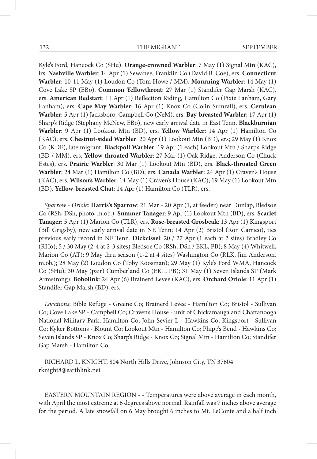Kyle's Ford, Hancock Co (SHu). **Orange-crowned Warbler**: 7 May (1) Signal Mtn (KAC), lrs. **Nashville Warbler**: 14 Apr (1) Sewanee, Franklin Co (David B. Coe), ers. **Connecticut Warbler**: 10-11 May (1) Loudon Co (Tom Howe / MM). **Mourning Warbler**: 14 May (1) Cove Lake SP (EBo). **Common Yellowthroat**: 27 Mar (1) Standifer Gap Marsh (KAC), ers. **American Redstart**: 11 Apr (1) Reflection Riding, Hamilton Co (Pixie Lanham, Gary Lanham), ers. **Cape May Warbler**: 16 Apr (1) Knox Co (Colin Sumrall), ers. **Cerulean Warbler**: 5 Apr (1) Jacksboro, Campbell Co (NeM), ers. **Bay-breasted Warbler**: 17 Apr (1) Sharp's Ridge (Stephany McNew, EBo), new early arrival date in East Tenn. **Blackburnian Warbler**: 9 Apr (1) Lookout Mtn (BD), ers. **Yellow Warbler**: 14 Apr (1) Hamilton Co (KAC), ers. **Chestnut-sided Warbler**: 20 Apr (1) Lookout Mtn (BD), ers; 29 May (1) Knox Co (KDE), late migrant. **Blackpoll Warbler**: 19 Apr (1 each) Lookout Mtn / Sharp's Ridge (BD / MM), ers. **Yellow-throated Warbler**: 27 Mar (1) Oak Ridge, Anderson Co (Chuck Estes), ers. **Prairie Warbler**: 30 Mar (1) Lookout Mtn (BD), ers. **Black-throated Green Warbler**: 24 Mar (1) Hamilton Co (BD), ers. **Canada Warbler**: 24 Apr (1) Craven's House (KAC), ers. **Wilson's Warbler**: 14 May (1) Craven's House (KAC); 19 May (1) Lookout Mtn (BD). **Yellow-breasted Chat**: 14 Apr (1) Hamilton Co (TLR), ers.

*Sparrow - Oriole*: **Harris's Sparrow**: 21 Mar - 20 Apr (1, at feeder) near Dunlap, Bledsoe Co (RSh, DSh, photo, m.ob.). **Summer Tanager**: 9 Apr (1) Lookout Mtn (BD), ers. **Scarlet Tanager**: 5 Apr (1) Marion Co (TLR), ers. **Rose-breasted Grosbeak**: 13 Apr (1) Kingsport (Bill Grigsby), new early arrival date in NE Tenn; 14 Apr (2) Bristol (Ron Carrico), ties previous early record in NE Tenn. **Dickcissel**: 20 / 27 Apr (1 each at 2 sites) Bradley Co (RHo); 5 / 30 May (2-4 at 2-3 sites) Bledsoe Co (RSh, DSh / EKL, PB); 8 May (4) Whitwell, Marion Co (AT); 9 May thru season (1-2 at 4 sites) Washington Co (RLK, Jim Anderson, m.ob.); 28 May (2) Loudon Co (Toby Koosman); 29 May (1) Kyle's Ford WMA, Hancock Co (SHu); 30 May (pair) Cumberland Co (EKL, PB); 31 May (1) Seven Islands SP (Mark Armstrong). **Bobolink**: 24 Apr (6) Brainerd Levee (KAC), ers. **Orchard Oriole**: 11 Apr (1) Standifer Gap Marsh (BD), ers.

*Locations*: Bible Refuge - Greene Co; Brainerd Levee - Hamilton Co; Bristol - Sullivan Co; Cove Lake SP - Campbell Co; Craven's House - unit of Chickamauga and Chattanooga National Military Park, Hamilton Co; John Sevier L - Hawkins Co; Kingsport - Sullivan Co; Kyker Bottoms - Blount Co; Lookout Mtn - Hamilton Co; Phipp's Bend - Hawkins Co; Seven Islands SP - Knox Co; Sharp's Ridge - Knox Co; Signal Mtn - Hamilton Co; Standifer Gap Marsh - Hamilton Co.

RICHARD L. KNIGHT, 804 North Hills Drive, Johnson City, TN 37604 rknight8@earthlink.net

EASTERN MOUNTAIN REGION - - Temperatures were above average in each month, with April the most extreme at 6 degrees above normal. Rainfall was 7 inches above average for the period. A late snowfall on 6 May brought 6 inches to Mt. LeConte and a half inch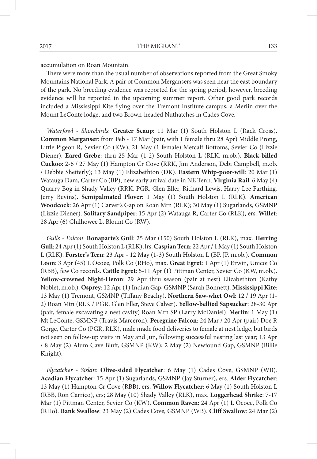accumulation on Roan Mountain.

There were more than the usual number of observations reported from the Great Smoky Mountains National Park. A pair of Common Mergansers was seen near the east boundary of the park. No breeding evidence was reported for the spring period; however, breeding evidence will be reported in the upcoming summer report. Other good park records included a Mississippi Kite flying over the Tremont Institute campus, a Merlin over the Mount LeConte lodge, and two Brown-headed Nuthatches in Cades Cove.

*Waterfowl - Shorebirds*: **Greater Scaup**: 11 Mar (1) South Holston L (Rack Cross). **Common Merganser**: from Feb - 17 Mar (pair, with 1 female thru 28 Apr) Middle Prong, Little Pigeon R, Sevier Co (KW); 21 May (1 female) Metcalf Bottoms, Sevier Co (Lizzie Diener). **Eared Grebe**: thru 25 Mar (1-2) South Holston L (RLK, m.ob.). **Black-billed Cuckoo**: 2-6 / 27 May (1) Hampton Cr Cove (RRK, Jim Anderson, Debi Campbell, m.ob. / Debbie Shetterly); 13 May (1) Elizabethton (DK). **Eastern Whip-poor-will**: 20 Mar (1) Watauga Dam, Carter Co (BP), new early arrival date in NE Tenn. **Virginia Rail**: 6 May (4) Quarry Bog in Shady Valley (RRK, PGR, Glen Eller, Richard Lewis, Harry Lee Farthing, Jerry Bevins). **Semipalmated Plover**: 1 May (1) South Holston L (RLK). **American Woodcock**: 26 Apr (1) Carver's Gap on Roan Mtn (RLK); 30 May (1) Sugarlands, GSMNP (Lizzie Diener). **Solitary Sandpiper**: 15 Apr (2) Watauga R, Carter Co (RLK), ers. **Willet**: 28 Apr (6) Chilhowee L, Blount Co (RW).

*Gulls - Falcon*: **Bonaparte's Gull**: 25 Mar (150) South Holston L (RLK), max. **Herring Gull**: 24 Apr (1) South Holston L (RLK), lrs. **Caspian Tern**: 22 Apr / 1 May (1) South Holston L (RLK). **Forster's Tern**: 23 Apr - 12 May (1-3) South Holston L (BP, JP, m.ob.). **Common Loon**: 3 Apr (45) L Ocoee, Polk Co (RHo), max. **Great Egret**: 1 Apr (1) Erwin, Unicoi Co (RBB), few Co records. **Cattle Egret**: 5-11 Apr (1) Pittman Center, Sevier Co (KW, m.ob.). **Yellow-crowned Night-Heron**: 29 Apr thru season (pair at nest) Elizabethton (Kathy Noblet, m.ob.). **Osprey**: 12 Apr (1) Indian Gap, GSMNP (Sarah Bonnett). **Mississippi Kite**: 13 May (1) Tremont, GSMNP (Tiffany Beachy). **Northern Saw-whet Owl**: 12 / 19 Apr (1- 2) Roan Mtn (RLK / PGR, Glen Eller, Steve Calver). **Yellow-bellied Sapsucker**: 28-30 Apr (pair, female excavating a nest cavity) Roan Mtn SP (Larry McDaniel). **Merlin**: 1 May (1) Mt LeConte, GSMNP (Travis Marceron). **Peregrine Falcon**: 24 Mar / 20 Apr (pair) Doe R Gorge, Carter Co (PGR, RLK), male made food deliveries to female at nest ledge, but birds not seen on follow-up visits in May and Jun, following successful nesting last year; 13 Apr / 8 May (2) Alum Cave Bluff, GSMNP (KW); 2 May (2) Newfound Gap, GSMNP (Billie Knight).

*Flycatcher - Siskin*: **Olive-sided Flycatcher**: 6 May (1) Cades Cove, GSMNP (WB). **Acadian Flycatcher**: 15 Apr (1) Sugarlands, GSMNP (Jay Sturner), ers. **Alder Flycatcher**: 13 May (1) Hampton Cr Cove (RBB), ers. **Willow Flycatcher**: 6 May (1) South Holston L (RBB, Ron Carrico), ers; 28 May (10) Shady Valley (RLK), max. **Loggerhead Shrike**: 7-17 Mar (1) Pittman Center, Sevier Co (KW). **Common Raven**: 24 Apr (1) L Ocoee, Polk Co (RHo). **Bank Swallow**: 23 May (2) Cades Cove, GSMNP (WB). **Cliff Swallow**: 24 Mar (2)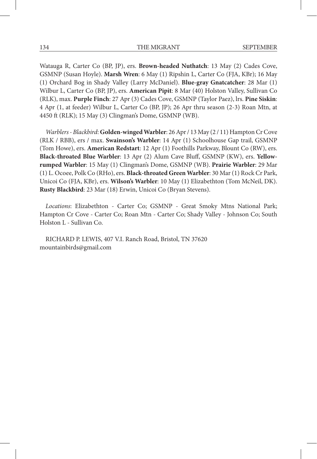Watauga R, Carter Co (BP, JP), ers. **Brown-headed Nuthatch**: 13 May (2) Cades Cove, GSMNP (Susan Hoyle). **Marsh Wren**: 6 May (1) Ripshin L, Carter Co (FJA, KBr); 16 May (1) Orchard Bog in Shady Valley (Larry McDaniel). **Blue-gray Gnatcatcher**: 28 Mar (1) Wilbur L, Carter Co (BP, JP), ers. **American Pipit**: 8 Mar (40) Holston Valley, Sullivan Co (RLK), max. **Purple Finch**: 27 Apr (3) Cades Cove, GSMNP (Taylor Paez), lrs. **Pine Siskin**: 4 Apr (1, at feeder) Wilbur L, Carter Co (BP, JP); 26 Apr thru season (2-3) Roan Mtn, at 4450 ft (RLK); 15 May (3) Clingman's Dome, GSMNP (WB).

*Warblers - Blackbird*: **Golden-winged Warbler**: 26 Apr / 13 May (2 / 11) Hampton Cr Cove (RLK / RBB), ers / max. **Swainson's Warbler**: 14 Apr (1) Schoolhouse Gap trail, GSMNP (Tom Howe), ers. **American Redstart**: 12 Apr (1) Foothills Parkway, Blount Co (RW), ers. **Black-throated Blue Warbler**: 13 Apr (2) Alum Cave Bluff, GSMNP (KW), ers. **Yellowrumped Warbler**: 15 May (1) Clingman's Dome, GSMNP (WB). **Prairie Warbler**: 29 Mar (1) L. Ocoee, Polk Co (RHo), ers. **Black-throated Green Warbler**: 30 Mar (1) Rock Cr Park, Unicoi Co (FJA, KBr), ers. **Wilson's Warbler**: 10 May (1) Elizabethton (Tom McNeil, DK). **Rusty Blackbird**: 23 Mar (18) Erwin, Unicoi Co (Bryan Stevens).

*Locations*: Elizabethton - Carter Co; GSMNP - Great Smoky Mtns National Park; Hampton Cr Cove - Carter Co; Roan Mtn - Carter Co; Shady Valley - Johnson Co; South Holston L - Sullivan Co.

RICHARD P. LEWIS, 407 V.I. Ranch Road, Bristol, TN 37620 mountainbirds@gmail.com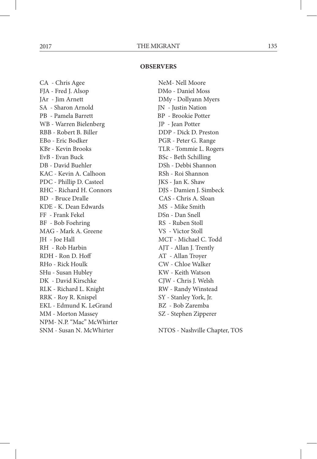#### **OBSERVERS**

CA - Chris Agee NeM- Nell Moore FJA - Fred J. Alsop DMo - Daniel Moss JAr - Jim Arnett DMy - Dollyann Myers SA - Sharon Arnold JN - Justin Nation PB - Pamela Barrett BP - Brookie Potter WB - Warren Bielenberg JP - Jean Potter RBB - Robert B. Biller DDP - Dick D. Preston EBo - Eric Bodker PGR - Peter G. Range KBr - Kevin Brooks TLR - Tommie L. Rogers EvB - Evan Buck BSc - Beth Schilling DB - David Buehler DSh - Debbi Shannon KAC - Kevin A. Calhoon RSh - Roi Shannon PDC - Phillip D. Casteel JKS - Jan K. Shaw RHC - Richard H. Connors DJS - Damien J. Simbeck BD - Bruce Dralle CAS - Chris A. Sloan KDE - K. Dean Edwards MS - Mike Smith FF - Frank Fekel DSn - Dan Snell BF - Bob Foehring RS - Ruben Stoll MAG - Mark A. Greene VS - Victor Stoll JH - Joe Hall MCT - Michael C. Todd RH - Rob Harbin AJT - Allan J. Trently RDH - Ron D. Hoff AT - Allan Troyer RHo - Rick Houlk CW - Chloe Walker SHu - Susan Hubley KW - Keith Watson DK - David Kirschke CJW - Chris J. Welsh RLK - Richard L. Knight RW - Randy Winstead RRK - Roy R. Knispel SY - Stanley York, Jr. EKL - Edmund K. LeGrand BZ - Bob Zaremba MM - Morton Massey SZ - Stephen Zipperer NPM- N.P. "Mac" McWhirter

SNM - Susan N. McWhirter NTOS - Nashville Chapter, TOS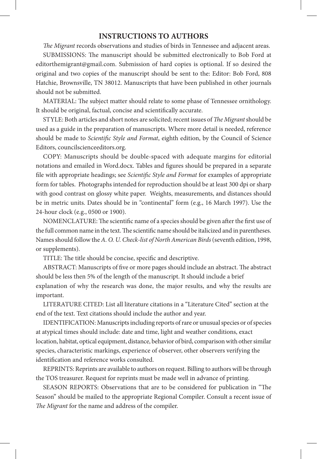# **INSTRUCTIONS TO AUTHORS**

*The Migrant* records observations and studies of birds in Tennessee and adjacent areas. SUBMISSIONS: The manuscript should be submitted electronically to Bob Ford at editorthemigrant@gmail.com. Submission of hard copies is optional. If so desired the original and two copies of the manuscript should be sent to the: Editor: Bob Ford, 808 Hatchie, Brownsville, TN 38012. Manuscripts that have been published in other journals should not be submitted.

MATERIAL: The subject matter should relate to some phase of Tennessee ornithology. It should be original, factual, concise and scientifically accurate.

STYLE: Both articles and short notes are solicited; recent issues of *The Migrant* should be used as a guide in the preparation of manuscripts. Where more detail is needed, reference should be made to *Scientific Style and Format*, eighth edition, by the Council of Science Editors, councilscienceeditors.org.

COPY: Manuscripts should be double-spaced with adequate margins for editorial notations and emailed in Word.docx. Tables and figures should be prepared in a separate file with appropriate headings; see *Scientific Style and Format* for examples of appropriate form for tables. Photographs intended for reproduction should be at least 300 dpi or sharp with good contrast on glossy white paper. Weights, measurements, and distances should be in metric units. Dates should be in "continental" form (e.g., 16 March 1997). Use the 24-hour clock (e.g., 0500 or 1900).

NOMENCLATURE: The scientific name of a species should be given after the first use of the full common name in the text. The scientific name should be italicized and in parentheses. Names should follow the *A. O. U. Check-list of North American Birds* (seventh edition, 1998, or supplements).

TITLE: The title should be concise, specific and descriptive.

ABSTRACT: Manuscripts of five or more pages should include an abstract. The abstract should be less then 5% of the length of the manuscript. It should include a brief explanation of why the research was done, the major results, and why the results are important.

LITERATURE CITED: List all literature citations in a "Literature Cited" section at the end of the text. Text citations should include the author and year.

IDENTIFICATION: Manuscripts including reports of rare or unusual species or of species at atypical times should include: date and time, light and weather conditions, exact location, habitat, optical equipment, distance, behavior of bird, comparison with other similar species, characteristic markings, experience of observer, other observers verifying the identification and reference works consulted.

REPRINTS: Reprints are available to authors on request. Billing to authors will be through the TOS treasurer. Request for reprints must be made well in advance of printing.

SEASON REPORTS: Observations that are to be considered for publication in "The Season" should be mailed to the appropriate Regional Compiler. Consult a recent issue of *The Migrant* for the name and address of the compiler.